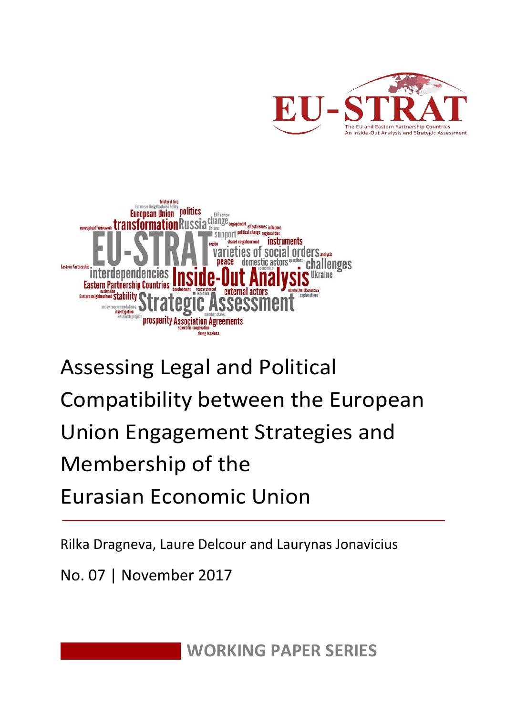



# Assessing Legal and Political Compatibility between the European Union Engagement Strategies and Membership of the Eurasian Economic Union

Rilka Dragneva, Laure Delcour and Laurynas Jonavicius

No. 07 | November 2017

**WORKING PAPER SERIES**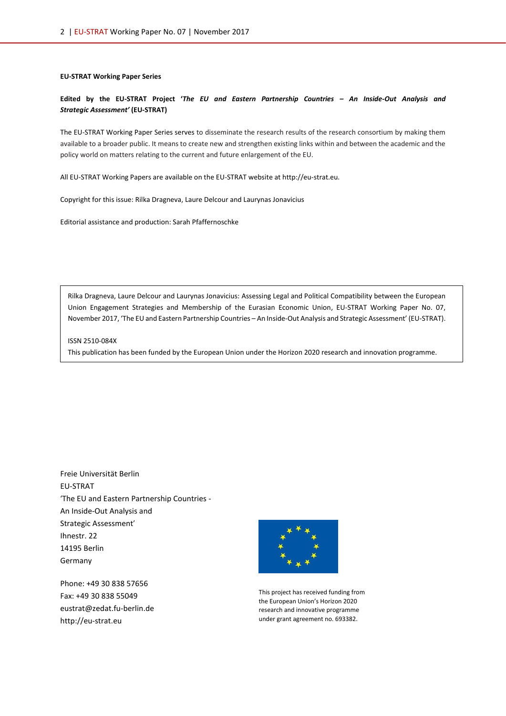#### **EU-STRAT Working Paper Series**

#### **Edited by the EU-STRAT Project '***The EU and Eastern Partnership Countries – An Inside-Out Analysis and Strategic Assessment'* **(EU-STRAT)**

The EU-STRAT Working Paper Series serves to disseminate the research results of the research consortium by making them available to a broader public. It means to create new and strengthen existing links within and between the academic and the policy world on matters relating to the current and future enlargement of the EU.

All EU-STRAT Working Papers are available on the EU-STRAT website at http://eu-strat.eu.

Copyright for this issue: Rilka Dragneva, Laure Delcour and Laurynas Jonavicius

Editorial assistance and production: Sarah Pfaffernoschke

Rilka Dragneva, Laure Delcour and Laurynas Jonavicius: Assessing Legal and Political Compatibility between the European Union Engagement Strategies and Membership of the Eurasian Economic Union, EU-STRAT Working Paper No. 07, November 2017, 'The EU and Eastern Partnership Countries – An Inside-Out Analysis and Strategic Assessment' (EU-STRAT).

ISSN 2510-084X

This publication has been funded by the European Union under the Horizon 2020 research and innovation programme.

Freie Universität Berlin EU-STRAT 'The EU and Eastern Partnership Countries - An Inside-Out Analysis and Strategic Assessment' Ihnestr. 22 14195 Berlin Germany

Phone: +49 30 838 57656 Fax: +49 30 838 55049 eustrat@zedat.fu-berlin.de http://eu-strat.eu



This project has received funding from the European Union's Horizon 2020 research and innovative programme under grant agreement no. 693382.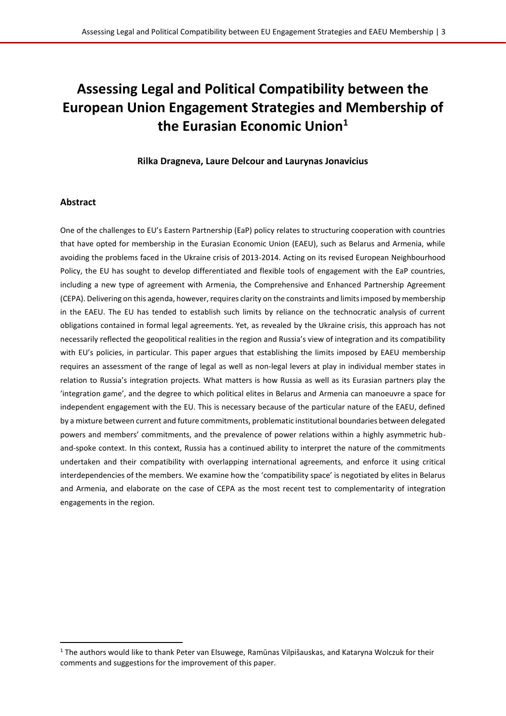# **Assessing Legal and Political Compatibility between the European Union Engagement Strategies and Membership of the Eurasian Economic Union<sup>1</sup>**

#### **Rilka Dragneva, Laure Delcour and Laurynas Jonavicius**

#### **Abstract**

l

One of the challenges to EU's Eastern Partnership (EaP) policy relates to structuring cooperation with countries that have opted for membership in the Eurasian Economic Union (EAEU), such as Belarus and Armenia, while avoiding the problems faced in the Ukraine crisis of 2013-2014. Acting on its revised European Neighbourhood Policy, the EU has sought to develop differentiated and flexible tools of engagement with the EaP countries, including a new type of agreement with Armenia, the Comprehensive and Enhanced Partnership Agreement (CEPA). Delivering on this agenda, however, requires clarity on the constraints and limits imposed by membership in the EAEU. The EU has tended to establish such limits by reliance on the technocratic analysis of current obligations contained in formal legal agreements. Yet, as revealed by the Ukraine crisis, this approach has not necessarily reflected the geopolitical realities in the region and Russia's view of integration and its compatibility with EU's policies, in particular. This paper argues that establishing the limits imposed by EAEU membership requires an assessment of the range of legal as well as non-legal levers at play in individual member states in relation to Russia's integration projects. What matters is how Russia as well as its Eurasian partners play the 'integration game', and the degree to which political elites in Belarus and Armenia can manoeuvre a space for independent engagement with the EU. This is necessary because of the particular nature of the EAEU, defined by a mixture between current and future commitments, problematic institutional boundaries between delegated powers and members' commitments, and the prevalence of power relations within a highly asymmetric huband-spoke context. In this context, Russia has a continued ability to interpret the nature of the commitments undertaken and their compatibility with overlapping international agreements, and enforce it using critical interdependencies of the members. We examine how the 'compatibility space' is negotiated by elites in Belarus and Armenia, and elaborate on the case of CEPA as the most recent test to complementarity of integration engagements in the region.

<sup>&</sup>lt;sup>1</sup> The authors would like to thank Peter van Elsuwege, Ramūnas Vilpišauskas, and Kataryna Wolczuk for their comments and suggestions for the improvement of this paper.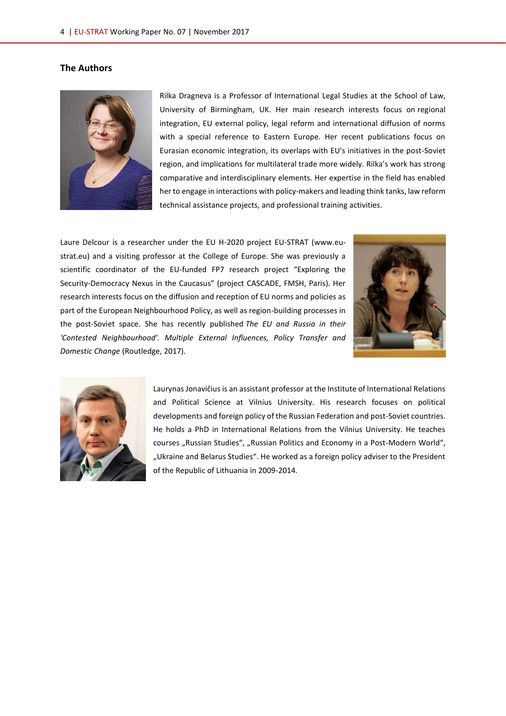### **The Authors**



Rilka Dragneva is a Professor of International Legal Studies at the School of Law, University of Birmingham, UK. Her main research interests focus on regional integration, EU external policy, legal reform and international diffusion of norms with a special reference to Eastern Europe. Her recent publications focus on Eurasian economic integration, its overlaps with EU's initiatives in the post-Soviet region, and implications for multilateral trade more widely. Rilka's work has strong comparative and interdisciplinary elements. Her expertise in the field has enabled her to engage in interactions with policy-makers and leading think tanks, law reform technical assistance projects, and professional training activities.

Laure Delcour is a researcher under the EU H-2020 project EU-STRAT [\(www.eu](http://www.eu-strat.eu/)[strat.eu\)](http://www.eu-strat.eu/) and a visiting professor at the College of Europe. She was previously a scientific coordinator of the EU-funded FP7 research project "Exploring the Security-Democracy Nexus in the Caucasus" (project CASCADE, FMSH, Paris). Her research interests focus on the diffusion and reception of EU norms and policies as part of the European Neighbourhood Policy, as well as region-building processes in the post-Soviet space. She has recently published *The EU and Russia in their 'Contested Neighbourhood'. Multiple External Influences, Policy Transfer and Domestic Change* (Routledge, 2017).





Laurynas Jonavičius is an assistant professor at the Institute of International Relations and Political Science at Vilnius University. His research focuses on political developments and foreign policy of the Russian Federation and post-Soviet countries. He holds a PhD in International Relations from the Vilnius University. He teaches courses "Russian Studies", "Russian Politics and Economy in a Post-Modern World", "Ukraine and Belarus Studies". He worked as a foreign policy adviser to the President of the Republic of Lithuania in 2009-2014.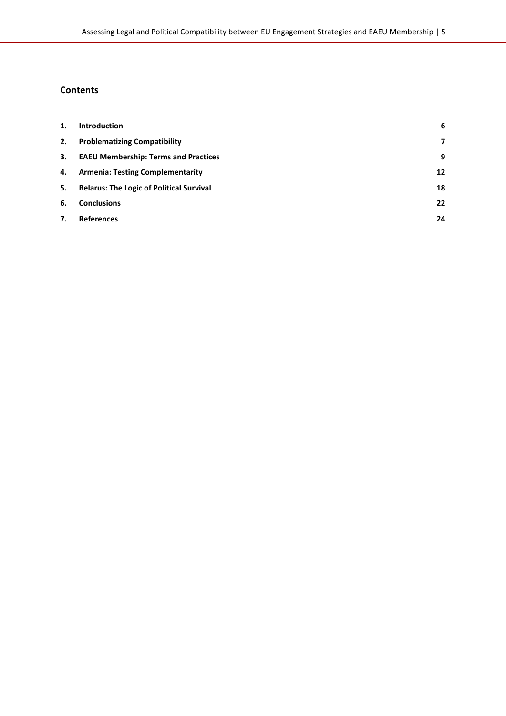# **Contents**

| 1. | Introduction                                    | 6  |
|----|-------------------------------------------------|----|
| 2. | <b>Problematizing Compatibility</b>             | 7  |
| 3. | <b>EAEU Membership: Terms and Practices</b>     | 9  |
| 4. | <b>Armenia: Testing Complementarity</b>         | 12 |
| 5. | <b>Belarus: The Logic of Political Survival</b> | 18 |
| 6. | <b>Conclusions</b>                              | 22 |
| 7. | <b>References</b>                               | 24 |
|    |                                                 |    |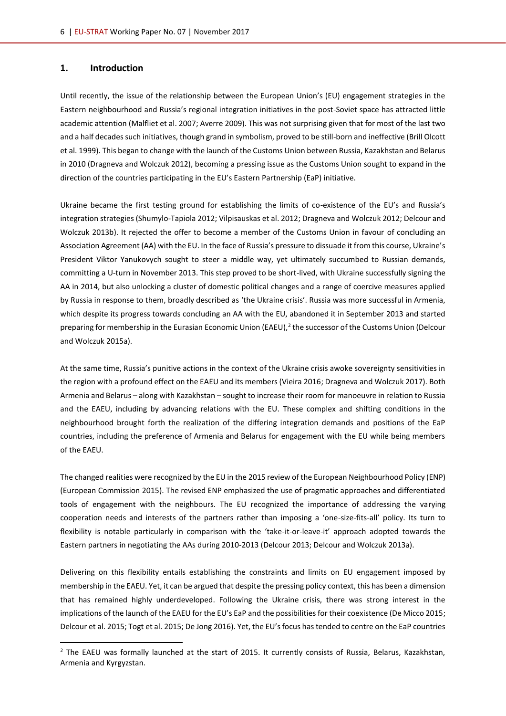#### <span id="page-5-0"></span>**1. Introduction**

l

Until recently, the issue of the relationship between the European Union's (EU) engagement strategies in the Eastern neighbourhood and Russia's regional integration initiatives in the post-Soviet space has attracted little academic attention (Malfliet et al. 2007; Averre 2009). This was not surprising given that for most of the last two and a half decades such initiatives, though grand in symbolism, proved to be still-born and ineffective (Brill Olcott et al. 1999). This began to change with the launch of the Customs Union between Russia, Kazakhstan and Belarus in 2010 (Dragneva and Wolczuk 2012), becoming a pressing issue as the Customs Union sought to expand in the direction of the countries participating in the EU's Eastern Partnership (EaP) initiative.

Ukraine became the first testing ground for establishing the limits of co-existence of the EU's and Russia's integration strategies (Shumylo-Tapiola 2012; Vilpisauskas et al. 2012; Dragneva and Wolczuk 2012; Delcour and Wolczuk 2013b). It rejected the offer to become a member of the Customs Union in favour of concluding an Association Agreement (AA) with the EU. In the face of Russia's pressure to dissuade it from this course, Ukraine's President Viktor Yanukovych sought to steer a middle way, yet ultimately succumbed to Russian demands, committing a U-turn in November 2013. This step proved to be short-lived, with Ukraine successfully signing the AA in 2014, but also unlocking a cluster of domestic political changes and a range of coercive measures applied by Russia in response to them, broadly described as 'the Ukraine crisis'. Russia was more successful in Armenia, which despite its progress towards concluding an AA with the EU, abandoned it in September 2013 and started preparing for membership in the Eurasian Economic Union (EAEU),<sup>2</sup> the successor of the Customs Union (Delcour and Wolczuk 2015a).

At the same time, Russia's punitive actions in the context of the Ukraine crisis awoke sovereignty sensitivities in the region with a profound effect on the EAEU and its members (Vieira 2016; Dragneva and Wolczuk 2017). Both Armenia and Belarus – along with Kazakhstan – sought to increase their room for manoeuvre in relation to Russia and the EAEU, including by advancing relations with the EU. These complex and shifting conditions in the neighbourhood brought forth the realization of the differing integration demands and positions of the EaP countries, including the preference of Armenia and Belarus for engagement with the EU while being members of the EAEU.

The changed realities were recognized by the EU in the 2015 review of the European Neighbourhood Policy (ENP) (European Commission 2015). The revised ENP emphasized the use of pragmatic approaches and differentiated tools of engagement with the neighbours. The EU recognized the importance of addressing the varying cooperation needs and interests of the partners rather than imposing a 'one-size-fits-all' policy. Its turn to flexibility is notable particularly in comparison with the 'take-it-or-leave-it' approach adopted towards the Eastern partners in negotiating the AAs during 2010-2013 (Delcour 2013; Delcour and Wolczuk 2013a).

Delivering on this flexibility entails establishing the constraints and limits on EU engagement imposed by membership in the EAEU. Yet, it can be argued that despite the pressing policy context, this has been a dimension that has remained highly underdeveloped. Following the Ukraine crisis, there was strong interest in the implications of the launch of the EAEU for the EU's EaP and the possibilities for their coexistence (De Micco 2015; Delcour et al. 2015; Togt et al. 2015; De Jong 2016). Yet, the EU's focus has tended to centre on the EaP countries

 $<sup>2</sup>$  The EAEU was formally launched at the start of 2015. It currently consists of Russia, Belarus, Kazakhstan,</sup> Armenia and Kyrgyzstan.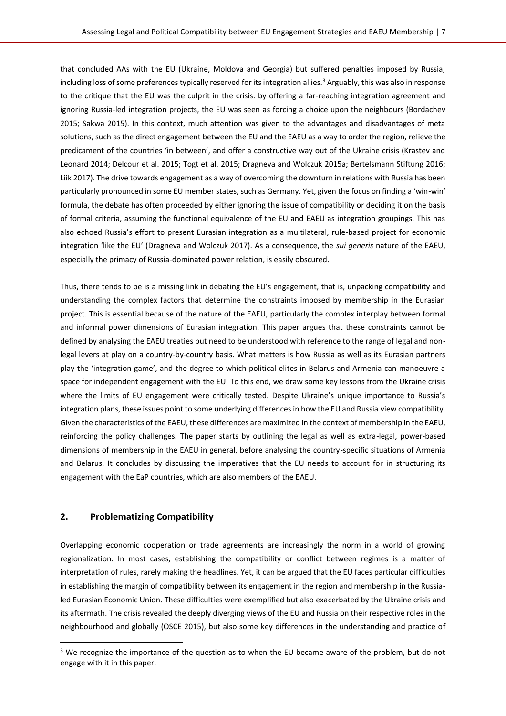that concluded AAs with the EU (Ukraine, Moldova and Georgia) but suffered penalties imposed by Russia, including loss of some preferences typically reserved for its integration allies.<sup>3</sup> Arguably, this was also in response to the critique that the EU was the culprit in the crisis: by offering a far-reaching integration agreement and ignoring Russia-led integration projects, the EU was seen as forcing a choice upon the neighbours (Bordachev 2015; Sakwa 2015). In this context, much attention was given to the advantages and disadvantages of meta solutions, such as the direct engagement between the EU and the EAEU as a way to order the region, relieve the predicament of the countries 'in between', and offer a constructive way out of the Ukraine crisis (Krastev and Leonard 2014; Delcour et al. 2015; Togt et al. 2015; Dragneva and Wolczuk 2015a; Bertelsmann Stiftung 2016; Liik 2017). The drive towards engagement as a way of overcoming the downturn in relations with Russia has been particularly pronounced in some EU member states, such as Germany. Yet, given the focus on finding a 'win-win' formula, the debate has often proceeded by either ignoring the issue of compatibility or deciding it on the basis of formal criteria, assuming the functional equivalence of the EU and EAEU as integration groupings. This has also echoed Russia's effort to present Eurasian integration as a multilateral, rule-based project for economic integration 'like the EU' (Dragneva and Wolczuk 2017). As a consequence, the *sui generis* nature of the EAEU, especially the primacy of Russia-dominated power relation, is easily obscured.

Thus, there tends to be is a missing link in debating the EU's engagement, that is, unpacking compatibility and understanding the complex factors that determine the constraints imposed by membership in the Eurasian project. This is essential because of the nature of the EAEU, particularly the complex interplay between formal and informal power dimensions of Eurasian integration. This paper argues that these constraints cannot be defined by analysing the EAEU treaties but need to be understood with reference to the range of legal and nonlegal levers at play on a country-by-country basis. What matters is how Russia as well as its Eurasian partners play the 'integration game', and the degree to which political elites in Belarus and Armenia can manoeuvre a space for independent engagement with the EU. To this end, we draw some key lessons from the Ukraine crisis where the limits of EU engagement were critically tested. Despite Ukraine's unique importance to Russia's integration plans, these issues point to some underlying differences in how the EU and Russia view compatibility. Given the characteristics of the EAEU, these differences are maximized in the context of membership in the EAEU, reinforcing the policy challenges. The paper starts by outlining the legal as well as extra-legal, power-based dimensions of membership in the EAEU in general, before analysing the country-specific situations of Armenia and Belarus. It concludes by discussing the imperatives that the EU needs to account for in structuring its engagement with the EaP countries, which are also members of the EAEU.

#### <span id="page-6-0"></span>**2. Problematizing Compatibility**

l

Overlapping economic cooperation or trade agreements are increasingly the norm in a world of growing regionalization. In most cases, establishing the compatibility or conflict between regimes is a matter of interpretation of rules, rarely making the headlines. Yet, it can be argued that the EU faces particular difficulties in establishing the margin of compatibility between its engagement in the region and membership in the Russialed Eurasian Economic Union. These difficulties were exemplified but also exacerbated by the Ukraine crisis and its aftermath. The crisis revealed the deeply diverging views of the EU and Russia on their respective roles in the neighbourhood and globally (OSCE 2015), but also some key differences in the understanding and practice of

 $3$  We recognize the importance of the question as to when the EU became aware of the problem, but do not engage with it in this paper.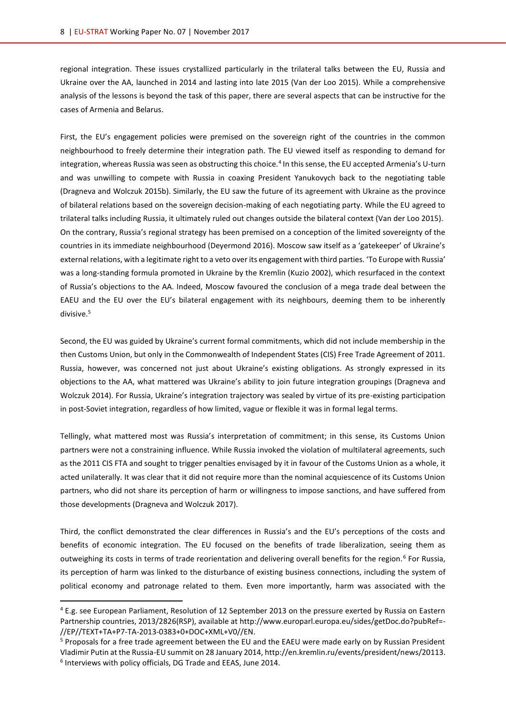regional integration. These issues crystallized particularly in the trilateral talks between the EU, Russia and Ukraine over the AA, launched in 2014 and lasting into late 2015 (Van der Loo 2015). While a comprehensive analysis of the lessons is beyond the task of this paper, there are several aspects that can be instructive for the cases of Armenia and Belarus.

First, the EU's engagement policies were premised on the sovereign right of the countries in the common neighbourhood to freely determine their integration path. The EU viewed itself as responding to demand for integration, whereas Russia was seen as obstructing this choice.<sup>4</sup> In this sense, the EU accepted Armenia's U-turn and was unwilling to compete with Russia in coaxing President Yanukovych back to the negotiating table (Dragneva and Wolczuk 2015b). Similarly, the EU saw the future of its agreement with Ukraine as the province of bilateral relations based on the sovereign decision-making of each negotiating party. While the EU agreed to trilateral talks including Russia, it ultimately ruled out changes outside the bilateral context (Van der Loo 2015). On the contrary, Russia's regional strategy has been premised on a conception of the limited sovereignty of the countries in its immediate neighbourhood (Deyermond 2016). Moscow saw itself as a 'gatekeeper' of Ukraine's external relations, with a legitimate right to a veto over its engagement with third parties. 'To Europe with Russia' was a long-standing formula promoted in Ukraine by the Kremlin (Kuzio 2002), which resurfaced in the context of Russia's objections to the AA. Indeed, Moscow favoured the conclusion of a mega trade deal between the EAEU and the EU over the EU's bilateral engagement with its neighbours, deeming them to be inherently divisive.<sup>5</sup>

Second, the EU was guided by Ukraine's current formal commitments, which did not include membership in the then Customs Union, but only in the Commonwealth of Independent States (CIS) Free Trade Agreement of 2011. Russia, however, was concerned not just about Ukraine's existing obligations. As strongly expressed in its objections to the AA, what mattered was Ukraine's ability to join future integration groupings (Dragneva and Wolczuk 2014). For Russia, Ukraine's integration trajectory was sealed by virtue of its pre-existing participation in post-Soviet integration, regardless of how limited, vague or flexible it was in formal legal terms.

Tellingly, what mattered most was Russia's interpretation of commitment; in this sense, its Customs Union partners were not a constraining influence. While Russia invoked the violation of multilateral agreements, such as the 2011 CIS FTA and sought to trigger penalties envisaged by it in favour of the Customs Union as a whole, it acted unilaterally. It was clear that it did not require more than the nominal acquiescence of its Customs Union partners, who did not share its perception of harm or willingness to impose sanctions, and have suffered from those developments (Dragneva and Wolczuk 2017).

Third, the conflict demonstrated the clear differences in Russia's and the EU's perceptions of the costs and benefits of economic integration. The EU focused on the benefits of trade liberalization, seeing them as outweighing its costs in terms of trade reorientation and delivering overall benefits for the region.<sup>6</sup> For Russia, its perception of harm was linked to the disturbance of existing business connections, including the system of political economy and patronage related to them. Even more importantly, harm was associated with the

<sup>5</sup> Proposals for a free trade agreement between the EU and the EAEU were made early on by Russian President Vladimir Putin at the Russia-EU summit on 28 January 2014[, http://en.kremlin.ru/events/president/news/20113.](http://en.kremlin.ru/events/president/news/20113)

<sup>4</sup> E.g. see European Parliament, Resolution of 12 September 2013 on the pressure exerted by Russia on Eastern Partnership countries, 2013/2826(RSP), available at [http://www.europarl.europa.eu/sides/getDoc.do?pubRef=-](http://www.europarl.europa.eu/sides/getDoc.do?pubRef=-//EP//TEXT+TA+P7-TA-2013-0383+0+DOC+XML+V0//EN) [//EP//TEXT+TA+P7-TA-2013-0383+0+DOC+XML+V0//EN.](http://www.europarl.europa.eu/sides/getDoc.do?pubRef=-//EP//TEXT+TA+P7-TA-2013-0383+0+DOC+XML+V0//EN)

<sup>6</sup> Interviews with policy officials, DG Trade and EEAS, June 2014.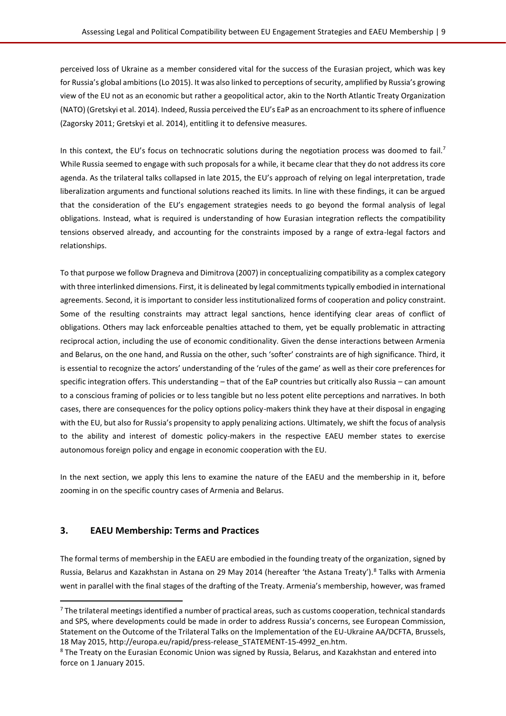perceived loss of Ukraine as a member considered vital for the success of the Eurasian project, which was key for Russia's global ambitions (Lo 2015). It was also linked to perceptions of security, amplified by Russia's growing view of the EU not as an economic but rather a geopolitical actor, akin to the North Atlantic Treaty Organization (NATO) (Gretskyi et al. 2014). Indeed, Russia perceived the EU's EaP as an encroachment to its sphere of influence (Zagorsky 2011; Gretskyi et al. 2014), entitling it to defensive measures.

In this context, the EU's focus on technocratic solutions during the negotiation process was doomed to fail.<sup>7</sup> While Russia seemed to engage with such proposals for a while, it became clear that they do not address its core agenda. As the trilateral talks collapsed in late 2015, the EU's approach of relying on legal interpretation, trade liberalization arguments and functional solutions reached its limits. In line with these findings, it can be argued that the consideration of the EU's engagement strategies needs to go beyond the formal analysis of legal obligations. Instead, what is required is understanding of how Eurasian integration reflects the compatibility tensions observed already, and accounting for the constraints imposed by a range of extra-legal factors and relationships.

To that purpose we follow Dragneva and Dimitrova (2007) in conceptualizing compatibility as a complex category with three interlinked dimensions. First, it is delineated by legal commitments typically embodied in international agreements. Second, it is important to consider less institutionalized forms of cooperation and policy constraint. Some of the resulting constraints may attract legal sanctions, hence identifying clear areas of conflict of obligations. Others may lack enforceable penalties attached to them, yet be equally problematic in attracting reciprocal action, including the use of economic conditionality. Given the dense interactions between Armenia and Belarus, on the one hand, and Russia on the other, such 'softer' constraints are of high significance. Third, it is essential to recognize the actors' understanding of the 'rules of the game' as well as their core preferences for specific integration offers. This understanding – that of the EaP countries but critically also Russia – can amount to a conscious framing of policies or to less tangible but no less potent elite perceptions and narratives. In both cases, there are consequences for the policy options policy-makers think they have at their disposal in engaging with the EU, but also for Russia's propensity to apply penalizing actions. Ultimately, we shift the focus of analysis to the ability and interest of domestic policy-makers in the respective EAEU member states to exercise autonomous foreign policy and engage in economic cooperation with the EU.

In the next section, we apply this lens to examine the nature of the EAEU and the membership in it, before zooming in on the specific country cases of Armenia and Belarus.

#### <span id="page-8-0"></span>**3. EAEU Membership: Terms and Practices**

 $\overline{\phantom{a}}$ 

The formal terms of membership in the EAEU are embodied in the founding treaty of the organization, signed by Russia, Belarus and Kazakhstan in Astana on 29 May 2014 (hereafter 'the Astana Treaty').<sup>8</sup> Talks with Armenia went in parallel with the final stages of the drafting of the Treaty. Armenia's membership, however, was framed

 $7$  The trilateral meetings identified a number of practical areas, such as customs cooperation, technical standards and SPS, where developments could be made in order to address Russia's concerns, see European Commission, Statement on the Outcome of the Trilateral Talks on the Implementation of the EU-Ukraine AA/DCFTA, Brussels, 18 May 2015[, http://europa.eu/rapid/press-release\\_STATEMENT-15-4992\\_en.htm.](http://europa.eu/rapid/press-release_STATEMENT-15-4992_en.htm)

<sup>&</sup>lt;sup>8</sup> The Treaty on the Eurasian Economic Union was signed by Russia, Belarus, and Kazakhstan and entered into force on 1 January 2015.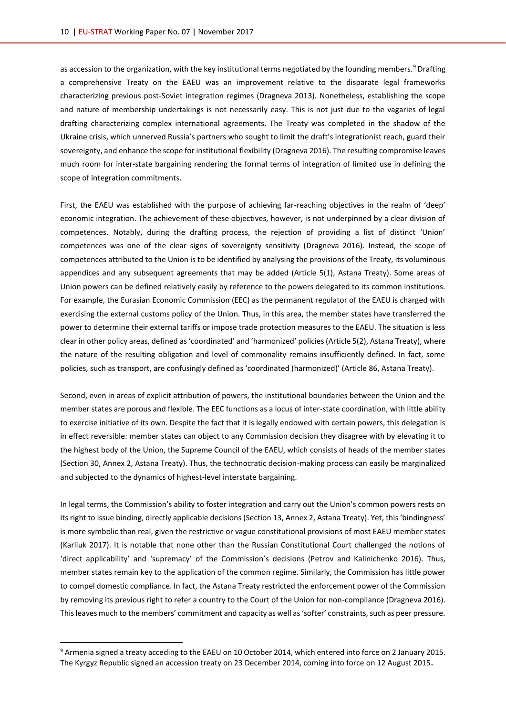as accession to the organization, with the key institutional terms negotiated by the founding members.<sup>9</sup> Drafting a comprehensive Treaty on the EAEU was an improvement relative to the disparate legal frameworks characterizing previous post-Soviet integration regimes (Dragneva 2013). Nonetheless, establishing the scope and nature of membership undertakings is not necessarily easy. This is not just due to the vagaries of legal drafting characterizing complex international agreements. The Treaty was completed in the shadow of the Ukraine crisis, which unnerved Russia's partners who sought to limit the draft's integrationist reach, guard their sovereignty, and enhance the scope for institutional flexibility (Dragneva 2016). The resulting compromise leaves much room for inter-state bargaining rendering the formal terms of integration of limited use in defining the scope of integration commitments.

First, the EAEU was established with the purpose of achieving far-reaching objectives in the realm of 'deep' economic integration. The achievement of these objectives, however, is not underpinned by a clear division of competences. Notably, during the drafting process, the rejection of providing a list of distinct 'Union' competences was one of the clear signs of sovereignty sensitivity (Dragneva 2016). Instead, the scope of competences attributed to the Union is to be identified by analysing the provisions of the Treaty, its voluminous appendices and any subsequent agreements that may be added (Article 5(1), Astana Treaty). Some areas of Union powers can be defined relatively easily by reference to the powers delegated to its common institutions. For example, the Eurasian Economic Commission (EEC) as the permanent regulator of the EAEU is charged with exercising the external customs policy of the Union. Thus, in this area, the member states have transferred the power to determine their external tariffs or impose trade protection measures to the EAEU. The situation is less clear in other policy areas, defined as 'coordinated' and 'harmonized' policies (Article 5(2), Astana Treaty), where the nature of the resulting obligation and level of commonality remains insufficiently defined. In fact, some policies, such as transport, are confusingly defined as 'coordinated (harmonized)' (Article 86, Astana Treaty).

Second, even in areas of explicit attribution of powers, the institutional boundaries between the Union and the member states are porous and flexible. The EEC functions as a locus of inter-state coordination, with little ability to exercise initiative of its own. Despite the fact that it is legally endowed with certain powers, this delegation is in effect reversible: member states can object to any Commission decision they disagree with by elevating it to the highest body of the Union, the Supreme Council of the EAEU, which consists of heads of the member states (Section 30, Annex 2, Astana Treaty). Thus, the technocratic decision-making process can easily be marginalized and subjected to the dynamics of highest-level interstate bargaining.

In legal terms, the Commission's ability to foster integration and carry out the Union's common powers rests on its right to issue binding, directly applicable decisions (Section 13, Annex 2, Astana Treaty). Yet, this 'bindingness' is more symbolic than real, given the restrictive or vague constitutional provisions of most EAEU member states (Karliuk 2017). It is notable that none other than the Russian Constitutional Court challenged the notions of 'direct applicability' and 'supremacy' of the Commission's decisions (Petrov and Kalinichenko 2016). Thus, member states remain key to the application of the common regime. Similarly, the Commission has little power to compel domestic compliance. In fact, the Astana Treaty restricted the enforcement power of the Commission by removing its previous right to refer a country to the Court of the Union for non-compliance (Dragneva 2016). This leaves much to the members' commitment and capacity as well as 'softer' constraints, such as peer pressure.

l

<sup>&</sup>lt;sup>9</sup> Armenia signed a treaty acceding to the EAEU on 10 October 2014, which entered into force on 2 January 2015. The Kyrgyz Republic signed an accession treaty on 23 December 2014, coming into force on 12 August 2015**.**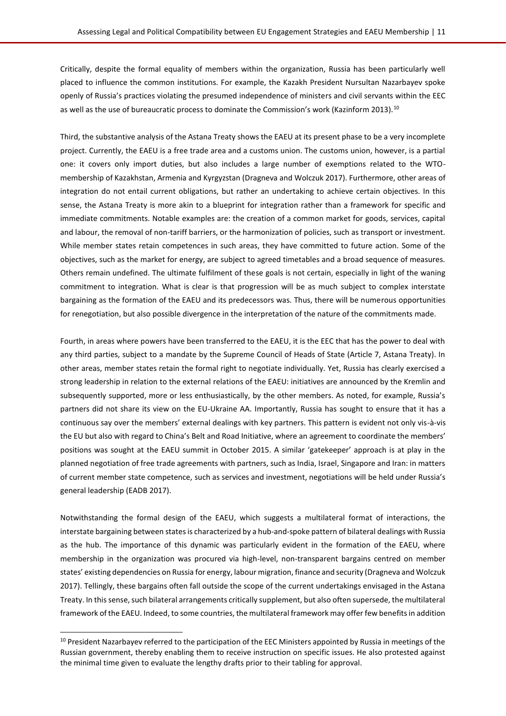Critically, despite the formal equality of members within the organization, Russia has been particularly well placed to influence the common institutions. For example, the Kazakh President Nursultan Nazarbayev spoke openly of Russia's practices violating the presumed independence of ministers and civil servants within the EEC as well as the use of bureaucratic process to dominate the Commission's work (Kazinform 2013).<sup>10</sup>

Third, the substantive analysis of the Astana Treaty shows the EAEU at its present phase to be a very incomplete project. Currently, the EAEU is a free trade area and a customs union. The customs union, however, is a partial one: it covers only import duties, but also includes a large number of exemptions related to the WTOmembership of Kazakhstan, Armenia and Kyrgyzstan (Dragneva and Wolczuk 2017). Furthermore, other areas of integration do not entail current obligations, but rather an undertaking to achieve certain objectives. In this sense, the Astana Treaty is more akin to a blueprint for integration rather than a framework for specific and immediate commitments. Notable examples are: the creation of a common market for goods, services, capital and labour, the removal of non-tariff barriers, or the harmonization of policies, such as transport or investment. While member states retain competences in such areas, they have committed to future action. Some of the objectives, such as the market for energy, are subject to agreed timetables and a broad sequence of measures. Others remain undefined. The ultimate fulfilment of these goals is not certain, especially in light of the waning commitment to integration. What is clear is that progression will be as much subject to complex interstate bargaining as the formation of the EAEU and its predecessors was. Thus, there will be numerous opportunities for renegotiation, but also possible divergence in the interpretation of the nature of the commitments made.

Fourth, in areas where powers have been transferred to the EAEU, it is the EEC that has the power to deal with any third parties, subject to a mandate by the Supreme Council of Heads of State (Article 7, Astana Treaty). In other areas, member states retain the formal right to negotiate individually. Yet, Russia has clearly exercised a strong leadership in relation to the external relations of the EAEU: initiatives are announced by the Kremlin and subsequently supported, more or less enthusiastically, by the other members. As noted, for example, Russia's partners did not share its view on the EU-Ukraine AA. Importantly, Russia has sought to ensure that it has a continuous say over the members' external dealings with key partners. This pattern is evident not only vis-à-vis the EU but also with regard to China's Belt and Road Initiative, where an agreement to coordinate the members' positions was sought at the EAEU summit in October 2015. A similar 'gatekeeper' approach is at play in the planned negotiation of free trade agreements with partners, such as India, Israel, Singapore and Iran: in matters of current member state competence, such as services and investment, negotiations will be held under Russia's general leadership (EADB 2017).

Notwithstanding the formal design of the EAEU, which suggests a multilateral format of interactions, the interstate bargaining between states is characterized by a hub-and-spoke pattern of bilateral dealings with Russia as the hub. The importance of this dynamic was particularly evident in the formation of the EAEU, where membership in the organization was procured via high-level, non-transparent bargains centred on member states' existing dependencies on Russia for energy, labour migration, finance and security (Dragneva and Wolczuk 2017). Tellingly, these bargains often fall outside the scope of the current undertakings envisaged in the Astana Treaty. In this sense, such bilateral arrangements critically supplement, but also often supersede, the multilateral framework of the EAEU. Indeed, to some countries, the multilateral framework may offer few benefits in addition

<sup>&</sup>lt;sup>10</sup> President Nazarbayev referred to the participation of the EEC Ministers appointed by Russia in meetings of the Russian government, thereby enabling them to receive instruction on specific issues. He also protested against the minimal time given to evaluate the lengthy drafts prior to their tabling for approval.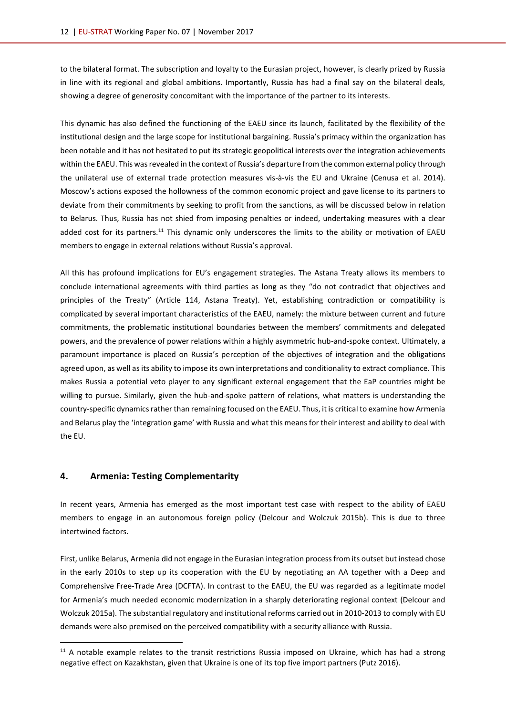to the bilateral format. The subscription and loyalty to the Eurasian project, however, is clearly prized by Russia in line with its regional and global ambitions. Importantly, Russia has had a final say on the bilateral deals, showing a degree of generosity concomitant with the importance of the partner to its interests.

This dynamic has also defined the functioning of the EAEU since its launch, facilitated by the flexibility of the institutional design and the large scope for institutional bargaining. Russia's primacy within the organization has been notable and it has not hesitated to put its strategic geopolitical interests over the integration achievements within the EAEU. This was revealed in the context of Russia's departure from the common external policy through the unilateral use of external trade protection measures vis-à-vis the EU and Ukraine (Cenusa et al. 2014). Moscow's actions exposed the hollowness of the common economic project and gave license to its partners to deviate from their commitments by seeking to profit from the sanctions, as will be discussed below in relation to Belarus. Thus, Russia has not shied from imposing penalties or indeed, undertaking measures with a clear added cost for its partners.<sup>11</sup> This dynamic only underscores the limits to the ability or motivation of EAEU members to engage in external relations without Russia's approval.

All this has profound implications for EU's engagement strategies. The Astana Treaty allows its members to conclude international agreements with third parties as long as they "do not contradict that objectives and principles of the Treaty" (Article 114, Astana Treaty). Yet, establishing contradiction or compatibility is complicated by several important characteristics of the EAEU, namely: the mixture between current and future commitments, the problematic institutional boundaries between the members' commitments and delegated powers, and the prevalence of power relations within a highly asymmetric hub-and-spoke context. Ultimately, a paramount importance is placed on Russia's perception of the objectives of integration and the obligations agreed upon, as well as its ability to impose its own interpretations and conditionality to extract compliance. This makes Russia a potential veto player to any significant external engagement that the EaP countries might be willing to pursue. Similarly, given the hub-and-spoke pattern of relations, what matters is understanding the country-specific dynamics rather than remaining focused on the EAEU. Thus, it is critical to examine how Armenia and Belarus play the 'integration game' with Russia and what this means for their interest and ability to deal with the EU.

#### <span id="page-11-0"></span>**4. Armenia: Testing Complementarity**

l

In recent years, Armenia has emerged as the most important test case with respect to the ability of EAEU members to engage in an autonomous foreign policy (Delcour and Wolczuk 2015b). This is due to three intertwined factors.

First, unlike Belarus, Armenia did not engage in the Eurasian integration process from its outset but instead chose in the early 2010s to step up its cooperation with the EU by negotiating an AA together with a Deep and Comprehensive Free-Trade Area (DCFTA). In contrast to the EAEU, the EU was regarded as a legitimate model for Armenia's much needed economic modernization in a sharply deteriorating regional context (Delcour and Wolczuk 2015a). The substantial regulatory and institutional reforms carried out in 2010-2013 to comply with EU demands were also premised on the perceived compatibility with a security alliance with Russia.

 $11$  A notable example relates to the transit restrictions Russia imposed on Ukraine, which has had a strong negative effect on Kazakhstan, given that Ukraine is one of its top five import partners (Putz 2016).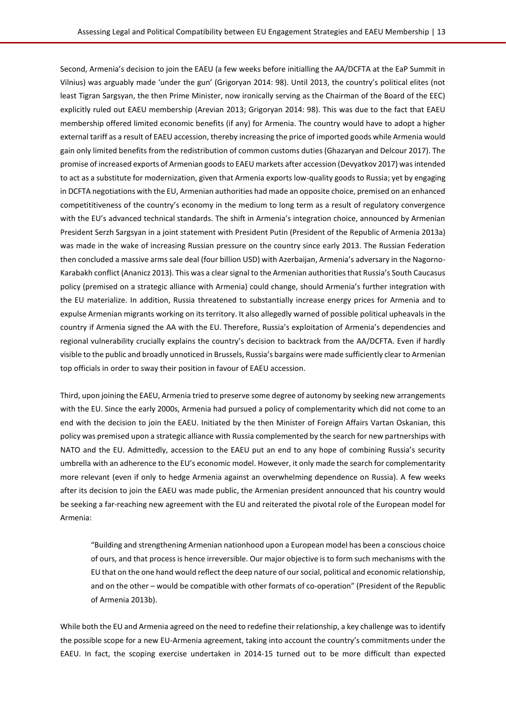Second, Armenia's decision to join the EAEU (a few weeks before initialling the AA/DCFTA at the EaP Summit in Vilnius) was arguably made 'under the gun' (Grigoryan 2014: 98). Until 2013, the country's political elites (not least Tigran Sargsyan, the then Prime Minister, now ironically serving as the Chairman of the Board of the EEC) explicitly ruled out EAEU membership (Arevian 2013; Grigoryan 2014: 98). This was due to the fact that EAEU membership offered limited economic benefits (if any) for Armenia. The country would have to adopt a higher external tariff as a result of EAEU accession, thereby increasing the price of imported goods while Armenia would gain only limited benefits from the redistribution of common customs duties (Ghazaryan and Delcour 2017). The promise of increased exports of Armenian goods to EAEU markets after accession (Devyatkov 2017) was intended to act as a substitute for modernization, given that Armenia exports low-quality goods to Russia; yet by engaging in DCFTA negotiations with the EU, Armenian authorities had made an opposite choice, premised on an enhanced competititiveness of the country's economy in the medium to long term as a result of regulatory convergence with the EU's advanced technical standards. The shift in Armenia's integration choice, announced by Armenian President Serzh Sargsyan in a joint statement with President Putin (President of the Republic of Armenia 2013a) was made in the wake of increasing Russian pressure on the country since early 2013. The Russian Federation then concluded a massive arms sale deal (four billion USD) with Azerbaijan, Armenia's adversary in the Nagorno-Karabakh conflict (Ananicz 2013). This was a clear signal to the Armenian authorities that Russia's South Caucasus policy (premised on a strategic alliance with Armenia) could change, should Armenia's further integration with the EU materialize. In addition, Russia threatened to substantially increase energy prices for Armenia and to expulse Armenian migrants working on its territory. It also allegedly warned of possible political upheavals in the country if Armenia signed the AA with the EU. Therefore, Russia's exploitation of Armenia's dependencies and regional vulnerability crucially explains the country's decision to backtrack from the AA/DCFTA. Even if hardly visible to the public and broadly unnoticed in Brussels, Russia's bargains were made sufficiently clear to Armenian top officials in order to sway their position in favour of EAEU accession.

Third, upon joining the EAEU, Armenia tried to preserve some degree of autonomy by seeking new arrangements with the EU. Since the early 2000s, Armenia had pursued a policy of complementarity which did not come to an end with the decision to join the EAEU. Initiated by the then Minister of Foreign Affairs Vartan Oskanian, this policy was premised upon a strategic alliance with Russia complemented by the search for new partnerships with NATO and the EU. Admittedly, accession to the EAEU put an end to any hope of combining Russia's security umbrella with an adherence to the EU's economic model. However, it only made the search for complementarity more relevant (even if only to hedge Armenia against an overwhelming dependence on Russia). A few weeks after its decision to join the EAEU was made public, the Armenian president announced that his country would be seeking a far-reaching new agreement with the EU and reiterated the pivotal role of the European model for Armenia:

"Building and strengthening Armenian nationhood upon a European model has been a conscious choice of ours, and that process is hence irreversible. Our major objective is to form such mechanisms with the EU that on the one hand would reflect the deep nature of our social, political and economic relationship, and on the other – would be compatible with other formats of co-operation" (President of the Republic of Armenia 2013b).

While both the EU and Armenia agreed on the need to redefine their relationship, a key challenge was to identify the possible scope for a new EU-Armenia agreement, taking into account the country's commitments under the EAEU. In fact, the scoping exercise undertaken in 2014-15 turned out to be more difficult than expected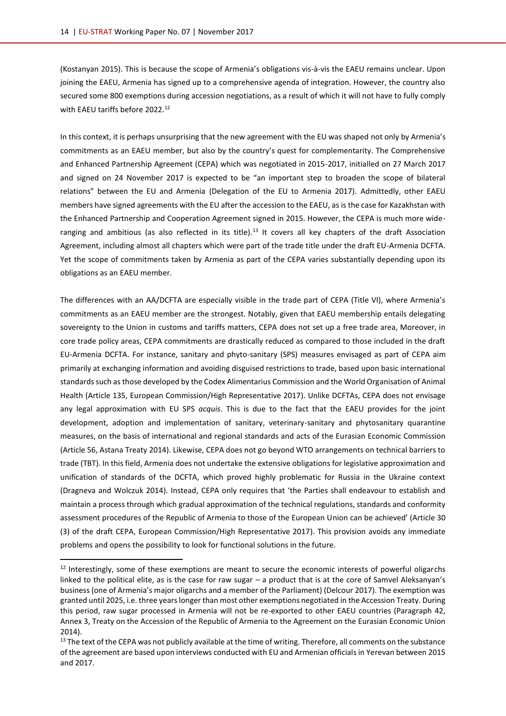(Kostanyan 2015). This is because the scope of Armenia's obligations vis-à-vis the EAEU remains unclear. Upon joining the EAEU, Armenia has signed up to a comprehensive agenda of integration. However, the country also secured some 800 exemptions during accession negotiations, as a result of which it will not have to fully comply with FAFU tariffs before 2022.<sup>12</sup>

In this context, it is perhaps unsurprising that the new agreement with the EU was shaped not only by Armenia's commitments as an EAEU member, but also by the country's quest for complementarity. The Comprehensive and Enhanced Partnership Agreement (CEPA) which was negotiated in 2015-2017, initialled on 27 March 2017 and signed on 24 November 2017 is expected to be "an important step to broaden the scope of bilateral relations" between the EU and Armenia (Delegation of the EU to Armenia 2017). Admittedly, other EAEU members have signed agreements with the EU after the accession to the EAEU, as is the case for Kazakhstan with the Enhanced Partnership and Cooperation Agreement signed in 2015. However, the CEPA is much more wideranging and ambitious (as also reflected in its title).<sup>13</sup> It covers all key chapters of the draft Association Agreement, including almost all chapters which were part of the trade title under the draft EU-Armenia DCFTA. Yet the scope of commitments taken by Armenia as part of the CEPA varies substantially depending upon its obligations as an EAEU member.

The differences with an AA/DCFTA are especially visible in the trade part of CEPA (Title VI), where Armenia's commitments as an EAEU member are the strongest. Notably, given that EAEU membership entails delegating sovereignty to the Union in customs and tariffs matters, CEPA does not set up a free trade area, Moreover, in core trade policy areas, CEPA commitments are drastically reduced as compared to those included in the draft EU-Armenia DCFTA. For instance, sanitary and phyto-sanitary (SPS) measures envisaged as part of CEPA aim primarily at exchanging information and avoiding disguised restrictions to trade, based upon basic international standards such as those developed by the Codex Alimentarius Commission and the World Organisation of Animal Health (Article 135, European Commission/High Representative 2017). Unlike DCFTAs, CEPA does not envisage any legal approximation with EU SPS *acquis*. This is due to the fact that the EAEU provides for the joint development, adoption and implementation of sanitary, veterinary-sanitary and phytosanitary quarantine measures, on the basis of international and regional standards and acts of the Eurasian Economic Commission (Article 56, Astana Treaty 2014). Likewise, CEPA does not go beyond WTO arrangements on technical barriers to trade (TBT). In this field, Armenia does not undertake the extensive obligations for legislative approximation and unification of standards of the DCFTA, which proved highly problematic for Russia in the Ukraine context (Dragneva and Wolczuk 2014). Instead, CEPA only requires that 'the Parties shall endeavour to establish and maintain a process through which gradual approximation of the technical regulations, standards and conformity assessment procedures of the Republic of Armenia to those of the European Union can be achieved' (Article 30 (3) of the draft CEPA, European Commission/High Representative 2017). This provision avoids any immediate problems and opens the possibility to look for functional solutions in the future.

 $12$  Interestingly, some of these exemptions are meant to secure the economic interests of powerful oligarchs linked to the political elite, as is the case for raw sugar – a product that is at the core of Samvel Aleksanyan's business (one of Armenia's major oligarchs and a member of the Parliament) (Delcour 2017). The exemption was granted until 2025, i.e. three years longer than most other exemptions negotiated in the Accession Treaty. During this period, raw sugar processed in Armenia will not be re-exported to other EAEU countries (Paragraph 42, Annex 3, Treaty on the Accession of the Republic of Armenia to the Agreement on the Eurasian Economic Union 2014).

 $13$  The text of the CEPA was not publicly available at the time of writing. Therefore, all comments on the substance of the agreement are based upon interviews conducted with EU and Armenian officials in Yerevan between 2015 and 2017.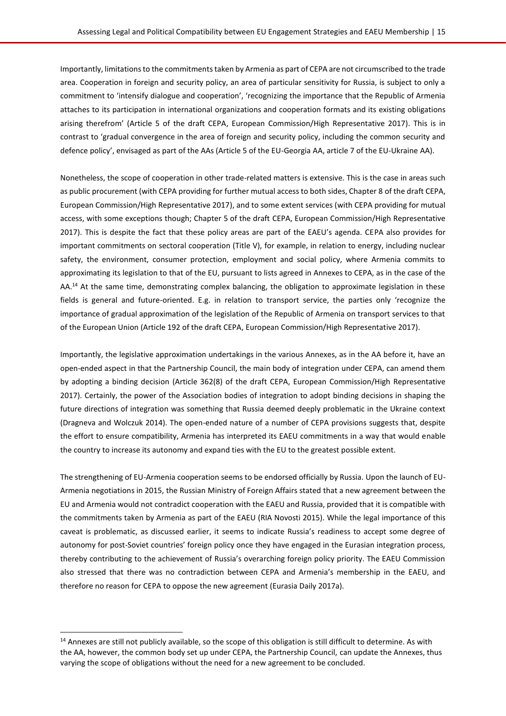Importantly, limitations to the commitments taken by Armenia as part of CEPA are not circumscribed to the trade area. Cooperation in foreign and security policy, an area of particular sensitivity for Russia, is subject to only a commitment to 'intensify dialogue and cooperation', 'recognizing the importance that the Republic of Armenia attaches to its participation in international organizations and cooperation formats and its existing obligations arising therefrom' (Article 5 of the draft CEPA, European Commission/High Representative 2017). This is in contrast to 'gradual convergence in the area of foreign and security policy, including the common security and defence policy', envisaged as part of the AAs (Article 5 of the EU-Georgia AA, article 7 of the EU-Ukraine AA).

Nonetheless, the scope of cooperation in other trade-related matters is extensive. This is the case in areas such as public procurement (with CEPA providing for further mutual access to both sides, Chapter 8 of the draft CEPA, European Commission/High Representative 2017), and to some extent services (with CEPA providing for mutual access, with some exceptions though; Chapter 5 of the draft CEPA, European Commission/High Representative 2017). This is despite the fact that these policy areas are part of the EAEU's agenda. CEPA also provides for important commitments on sectoral cooperation (Title V), for example, in relation to energy, including nuclear safety, the environment, consumer protection, employment and social policy, where Armenia commits to approximating its legislation to that of the EU, pursuant to lists agreed in Annexes to CEPA, as in the case of the AA.<sup>14</sup> At the same time, demonstrating complex balancing, the obligation to approximate legislation in these fields is general and future-oriented. E.g. in relation to transport service, the parties only 'recognize the importance of gradual approximation of the legislation of the Republic of Armenia on transport services to that of the European Union (Article 192 of the draft CEPA, European Commission/High Representative 2017).

Importantly, the legislative approximation undertakings in the various Annexes, as in the AA before it, have an open-ended aspect in that the Partnership Council, the main body of integration under CEPA, can amend them by adopting a binding decision (Article 362(8) of the draft CEPA, European Commission/High Representative 2017). Certainly, the power of the Association bodies of integration to adopt binding decisions in shaping the future directions of integration was something that Russia deemed deeply problematic in the Ukraine context (Dragneva and Wolczuk 2014). The open-ended nature of a number of CEPA provisions suggests that, despite the effort to ensure compatibility, Armenia has interpreted its EAEU commitments in a way that would enable the country to increase its autonomy and expand ties with the EU to the greatest possible extent.

The strengthening of EU-Armenia cooperation seems to be endorsed officially by Russia. Upon the launch of EU-Armenia negotiations in 2015, the Russian Ministry of Foreign Affairs stated that a new agreement between the EU and Armenia would not contradict cooperation with the EAEU and Russia, provided that it is compatible with the commitments taken by Armenia as part of the EAEU (RIA Novosti 2015). While the legal importance of this caveat is problematic, as discussed earlier, it seems to indicate Russia's readiness to accept some degree of autonomy for post-Soviet countries' foreign policy once they have engaged in the Eurasian integration process, thereby contributing to the achievement of Russia's overarching foreign policy priority. The EAEU Commission also stressed that there was no contradiction between CEPA and Armenia's membership in the EAEU, and therefore no reason for CEPA to oppose the new agreement (Eurasia Daily 2017a).

 $14$  Annexes are still not publicly available, so the scope of this obligation is still difficult to determine. As with the AA, however, the common body set up under CEPA, the Partnership Council, can update the Annexes, thus varying the scope of obligations without the need for a new agreement to be concluded.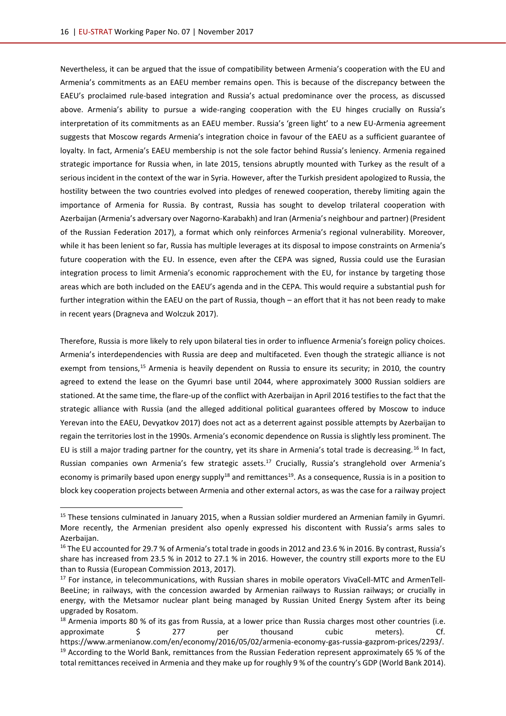$\overline{\phantom{a}}$ 

Nevertheless, it can be argued that the issue of compatibility between Armenia's cooperation with the EU and Armenia's commitments as an EAEU member remains open. This is because of the discrepancy between the EAEU's proclaimed rule-based integration and Russia's actual predominance over the process, as discussed above. Armenia's ability to pursue a wide-ranging cooperation with the EU hinges crucially on Russia's interpretation of its commitments as an EAEU member. Russia's 'green light' to a new EU-Armenia agreement suggests that Moscow regards Armenia's integration choice in favour of the EAEU as a sufficient guarantee of loyalty. In fact, Armenia's EAEU membership is not the sole factor behind Russia's leniency. Armenia regained strategic importance for Russia when, in late 2015, tensions abruptly mounted with Turkey as the result of a serious incident in the context of the war in Syria. However, after the Turkish president apologized to Russia, the hostility between the two countries evolved into pledges of renewed cooperation, thereby limiting again the importance of Armenia for Russia. By contrast, Russia has sought to develop trilateral cooperation with Azerbaijan (Armenia's adversary over Nagorno-Karabakh) and Iran (Armenia's neighbour and partner) (President of the Russian Federation 2017), a format which only reinforces Armenia's regional vulnerability. Moreover, while it has been lenient so far, Russia has multiple leverages at its disposal to impose constraints on Armenia's future cooperation with the EU. In essence, even after the CEPA was signed, Russia could use the Eurasian integration process to limit Armenia's economic rapprochement with the EU, for instance by targeting those areas which are both included on the EAEU's agenda and in the CEPA. This would require a substantial push for further integration within the EAEU on the part of Russia, though – an effort that it has not been ready to make in recent years (Dragneva and Wolczuk 2017).

Therefore, Russia is more likely to rely upon bilateral ties in order to influence Armenia's foreign policy choices. Armenia's interdependencies with Russia are deep and multifaceted. Even though the strategic alliance is not exempt from tensions,<sup>15</sup> Armenia is heavily dependent on Russia to ensure its security; in 2010, the country agreed to extend the lease on the Gyumri base until 2044, where approximately 3000 Russian soldiers are stationed. At the same time, the flare-up of the conflict with Azerbaijan in April 2016 testifies to the fact that the strategic alliance with Russia (and the alleged additional political guarantees offered by Moscow to induce Yerevan into the EAEU, Devyatkov 2017) does not act as a deterrent against possible attempts by Azerbaijan to regain the territories lost in the 1990s. Armenia's economic dependence on Russia is slightly less prominent. The EU is still a major trading partner for the country, yet its share in Armenia's total trade is decreasing.<sup>16</sup> In fact, Russian companies own Armenia's few strategic assets.<sup>17</sup> Crucially, Russia's stranglehold over Armenia's economy is primarily based upon energy supply<sup>18</sup> and remittances<sup>19</sup>. As a consequence, Russia is in a position to block key cooperation projects between Armenia and other external actors, as was the case for a railway project

<sup>&</sup>lt;sup>15</sup> These tensions culminated in January 2015, when a Russian soldier murdered an Armenian family in Gyumri. More recently, the Armenian president also openly expressed his discontent with Russia's arms sales to Azerbaijan.

<sup>&</sup>lt;sup>16</sup> The EU accounted for 29.7 % of Armenia's total trade in goods in 2012 and 23.6 % in 2016. By contrast, Russia's share has increased from 23.5 % in 2012 to 27.1 % in 2016. However, the country still exports more to the EU than to Russia (European Commission 2013, 2017).

<sup>&</sup>lt;sup>17</sup> For instance, in telecommunications, with Russian shares in mobile operators VivaCell-MTC and ArmenTell-BeeLine; in railways, with the concession awarded by Armenian railways to Russian railways; or crucially in energy, with the Metsamor nuclear plant being managed by Russian United Energy System after its being upgraded by Rosatom.

<sup>&</sup>lt;sup>18</sup> Armenia imports 80 % of its gas from Russia, at a lower price than Russia charges most other countries (i.e. approximate \$ 277 per thousand cubic meters). Cf. [https://www.armenianow.com/en/economy/2016/05/02/armenia-economy-gas-russia-gazprom-prices/2293/.](https://www.armenianow.com/en/economy/2016/05/02/armenia-economy-gas-russia-gazprom-prices/2293/) <sup>19</sup> According to the World Bank, remittances from the Russian Federation represent approximately 65 % of the total remittances received in Armenia and they make up for roughly 9 % of the country's GDP (World Bank 2014).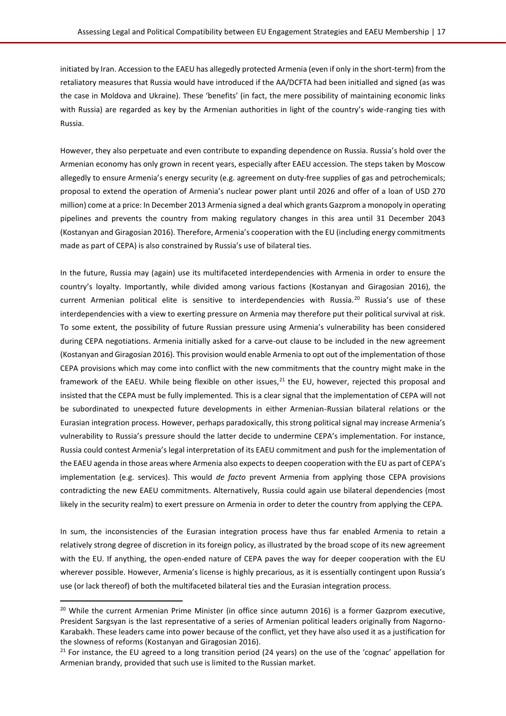initiated by Iran. Accession to the EAEU has allegedly protected Armenia (even if only in the short-term) from the retaliatory measures that Russia would have introduced if the AA/DCFTA had been initialled and signed (as was the case in Moldova and Ukraine). These 'benefits' (in fact, the mere possibility of maintaining economic links with Russia) are regarded as key by the Armenian authorities in light of the country's wide-ranging ties with Russia.

However, they also perpetuate and even contribute to expanding dependence on Russia. Russia's hold over the Armenian economy has only grown in recent years, especially after EAEU accession. The steps taken by Moscow allegedly to ensure Armenia's energy security (e.g. agreement on duty-free supplies of gas and petrochemicals; proposal to extend the operation of Armenia's nuclear power plant until 2026 and offer of a loan of USD 270 million) come at a price: In December 2013 Armenia signed a deal which grants Gazprom a monopoly in operating pipelines and prevents the country from making regulatory changes in this area until 31 December 2043 (Kostanyan and Giragosian 2016). Therefore, Armenia's cooperation with the EU (including energy commitments made as part of CEPA) is also constrained by Russia's use of bilateral ties.

In the future, Russia may (again) use its multifaceted interdependencies with Armenia in order to ensure the country's loyalty. Importantly, while divided among various factions (Kostanyan and Giragosian 2016), the current Armenian political elite is sensitive to interdependencies with Russia.<sup>20</sup> Russia's use of these interdependencies with a view to exerting pressure on Armenia may therefore put their political survival at risk. To some extent, the possibility of future Russian pressure using Armenia's vulnerability has been considered during CEPA negotiations. Armenia initially asked for a carve-out clause to be included in the new agreement (Kostanyan and Giragosian 2016). This provision would enable Armenia to opt out of the implementation of those CEPA provisions which may come into conflict with the new commitments that the country might make in the framework of the EAEU. While being flexible on other issues, $21$  the EU, however, rejected this proposal and insisted that the CEPA must be fully implemented. This is a clear signal that the implementation of CEPA will not be subordinated to unexpected future developments in either Armenian-Russian bilateral relations or the Eurasian integration process. However, perhaps paradoxically, this strong political signal may increase Armenia's vulnerability to Russia's pressure should the latter decide to undermine CEPA's implementation. For instance, Russia could contest Armenia's legal interpretation of its EAEU commitment and push for the implementation of the EAEU agenda in those areas where Armenia also expects to deepen cooperation with the EU as part of CEPA's implementation (e.g. services). This would *de facto* prevent Armenia from applying those CEPA provisions contradicting the new EAEU commitments. Alternatively, Russia could again use bilateral dependencies (most likely in the security realm) to exert pressure on Armenia in order to deter the country from applying the CEPA.

In sum, the inconsistencies of the Eurasian integration process have thus far enabled Armenia to retain a relatively strong degree of discretion in its foreign policy, as illustrated by the broad scope of its new agreement with the EU. If anything, the open-ended nature of CEPA paves the way for deeper cooperation with the EU wherever possible. However, Armenia's license is highly precarious, as it is essentially contingent upon Russia's use (or lack thereof) of both the multifaceted bilateral ties and the Eurasian integration process.

<sup>&</sup>lt;sup>20</sup> While the current Armenian Prime Minister (in office since autumn 2016) is a former Gazprom executive, President Sargsyan is the last representative of a series of Armenian political leaders originally from Nagorno-Karabakh. These leaders came into power because of the conflict, yet they have also used it as a justification for the slowness of reforms (Kostanyan and Giragosian 2016).

 $21$  For instance, the EU agreed to a long transition period (24 years) on the use of the 'cognac' appellation for Armenian brandy, provided that such use is limited to the Russian market.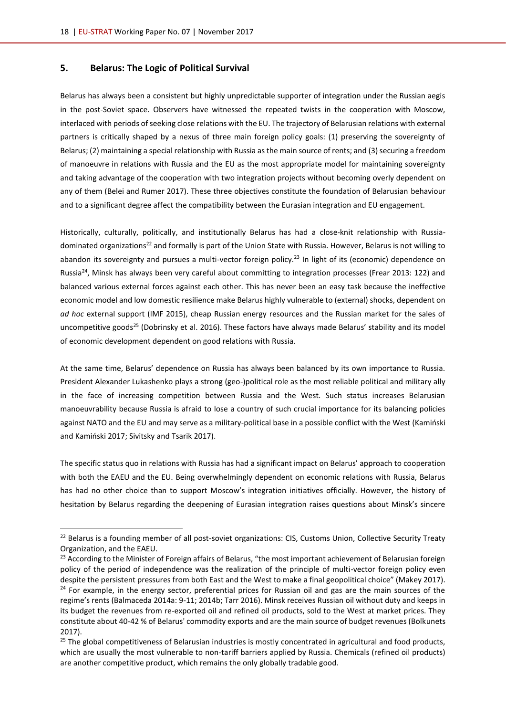#### <span id="page-17-0"></span>**5. Belarus: The Logic of Political Survival**

 $\overline{a}$ 

Belarus has always been a consistent but highly unpredictable supporter of integration under the Russian aegis in the post-Soviet space. Observers have witnessed the repeated twists in the cooperation with Moscow, interlaced with periods of seeking close relations with the EU. The trajectory of Belarusian relations with external partners is critically shaped by a nexus of three main foreign policy goals: (1) preserving the sovereignty of Belarus; (2) maintaining a special relationship with Russia as the main source of rents; and (3) securing a freedom of manoeuvre in relations with Russia and the EU as the most appropriate model for maintaining sovereignty and taking advantage of the cooperation with two integration projects without becoming overly dependent on any of them (Belei and Rumer 2017). These three objectives constitute the foundation of Belarusian behaviour and to a significant degree affect the compatibility between the Eurasian integration and EU engagement.

Historically, culturally, politically, and institutionally Belarus has had a close-knit relationship with Russiadominated organizations<sup>22</sup> and formally is part of the Union State with Russia. However, Belarus is not willing to abandon its sovereignty and pursues a multi-vector foreign policy.<sup>23</sup> In light of its (economic) dependence on Russia<sup>24</sup>, Minsk has always been very careful about committing to integration processes (Frear 2013: 122) and balanced various external forces against each other. This has never been an easy task because the ineffective economic model and low domestic resilience make Belarus highly vulnerable to (external) shocks, dependent on *ad hoc* external support (IMF 2015), cheap Russian energy resources and the Russian market for the sales of uncompetitive goods<sup>25</sup> (Dobrinsky et al. 2016). These factors have always made Belarus' stability and its model of economic development dependent on good relations with Russia.

At the same time, Belarus' dependence on Russia has always been balanced by its own importance to Russia. President Alexander Lukashenko plays a strong (geo-)political role as the most reliable political and military ally in the face of increasing competition between Russia and the West. Such status increases Belarusian manoeuvrability because Russia is afraid to lose a country of such crucial importance for its balancing policies against NATO and the EU and may serve as a military-political base in a possible conflict with the West (Kamiński and Kamiński 2017; Sivitsky and Tsarik 2017).

The specific status quo in relations with Russia has had a significant impact on Belarus' approach to cooperation with both the EAEU and the EU. Being overwhelmingly dependent on economic relations with Russia, Belarus has had no other choice than to support Moscow's integration initiatives officially. However, the history of hesitation by Belarus regarding the deepening of Eurasian integration raises questions about Minsk's sincere

<sup>&</sup>lt;sup>22</sup> Belarus is a founding member of all post-soviet organizations: CIS, Customs Union, Collective Security Treaty Organization, and the EAEU.

<sup>&</sup>lt;sup>23</sup> According to the Minister of Foreign affairs of Belarus, "the most important achievement of Belarusian foreign policy of the period of independence was the realization of the principle of multi-vector foreign policy even despite the persistent pressures from both East and the West to make a final geopolitical choice" (Makey 2017). <sup>24</sup> For example, in the energy sector, preferential prices for Russian oil and gas are the main sources of the regime's rents (Balmaceda 2014a: 9-11; 2014b; Tarr 2016). Minsk receives Russian oil without duty and keeps in its budget the revenues from re-exported oil and refined oil products, sold to the West at market prices. They constitute about 40-42 % of Belarus' commodity exports and are the main source of budget revenues (Bolkunets 2017).

 $25$  The global competitiveness of Belarusian industries is mostly concentrated in agricultural and food products, which are usually the most vulnerable to non-tariff barriers applied by Russia. Chemicals (refined oil products) are another competitive product, which remains the only globally tradable good.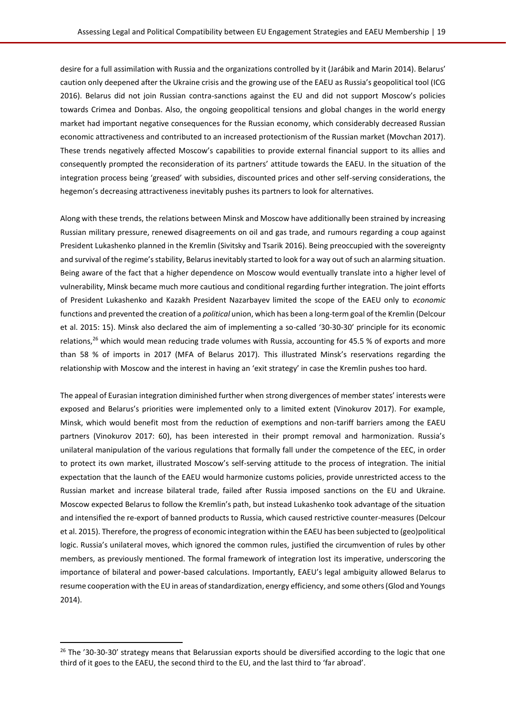desire for a full assimilation with Russia and the organizations controlled by it (Jarábik and Marin 2014). Belarus' caution only deepened after the Ukraine crisis and the growing use of the EAEU as Russia's geopolitical tool (ICG 2016). Belarus did not join Russian contra-sanctions against the EU and did not support Moscow's policies towards Crimea and Donbas. Also, the ongoing geopolitical tensions and global changes in the world energy market had important negative consequences for the Russian economy, which considerably decreased Russian economic attractiveness and contributed to an increased protectionism of the Russian market (Movchan 2017). These trends negatively affected Moscow's capabilities to provide external financial support to its allies and consequently prompted the reconsideration of its partners' attitude towards the EAEU. In the situation of the integration process being 'greased' with subsidies, discounted prices and other self-serving considerations, the hegemon's decreasing attractiveness inevitably pushes its partners to look for alternatives.

Along with these trends, the relations between Minsk and Moscow have additionally been strained by increasing Russian military pressure, renewed disagreements on oil and gas trade, and rumours regarding a coup against President Lukashenko planned in the Kremlin (Sivitsky and Tsarik 2016). Being preoccupied with the sovereignty and survival of the regime's stability, Belarus inevitably started to look for a way out of such an alarming situation. Being aware of the fact that a higher dependence on Moscow would eventually translate into a higher level of vulnerability, Minsk became much more cautious and conditional regarding further integration. The joint efforts of President Lukashenko and Kazakh President Nazarbayev limited the scope of the EAEU only to *economic* functions and prevented the creation of a *political* union, which has been a long-term goal of the Kremlin (Delcour et al. 2015: 15). Minsk also declared the aim of implementing a so-called '30-30-30' principle for its economic relations,<sup>26</sup> which would mean reducing trade volumes with Russia, accounting for 45.5 % of exports and more than 58 % of imports in 2017 (MFA of Belarus 2017). This illustrated Minsk's reservations regarding the relationship with Moscow and the interest in having an 'exit strategy' in case the Kremlin pushes too hard.

The appeal of Eurasian integration diminished further when strong divergences of member states' interests were exposed and Belarus's priorities were implemented only to a limited extent (Vinokurov 2017). For example, Minsk, which would benefit most from the reduction of exemptions and non-tariff barriers among the EAEU partners (Vinokurov 2017: 60), has been interested in their prompt removal and harmonization. Russia's unilateral manipulation of the various regulations that formally fall under the competence of the EEC, in order to protect its own market, illustrated Moscow's self-serving attitude to the process of integration. The initial expectation that the launch of the EAEU would harmonize customs policies, provide unrestricted access to the Russian market and increase bilateral trade, failed after Russia imposed sanctions on the EU and Ukraine. Moscow expected Belarus to follow the Kremlin's path, but instead Lukashenko took advantage of the situation and intensified the re-export of banned products to Russia, which caused restrictive counter-measures (Delcour et al. 2015). Therefore, the progress of economic integration within the EAEU has been subjected to (geo)political logic. Russia's unilateral moves, which ignored the common rules, justified the circumvention of rules by other members, as previously mentioned. The formal framework of integration lost its imperative, underscoring the importance of bilateral and power-based calculations. Importantly, EAEU's legal ambiguity allowed Belarus to resume cooperation with the EU in areas of standardization, energy efficiency, and some others (Glod and Youngs 2014).

l

<sup>&</sup>lt;sup>26</sup> The '30-30-30' strategy means that Belarussian exports should be diversified according to the logic that one third of it goes to the EAEU, the second third to the EU, and the last third to 'far abroad'.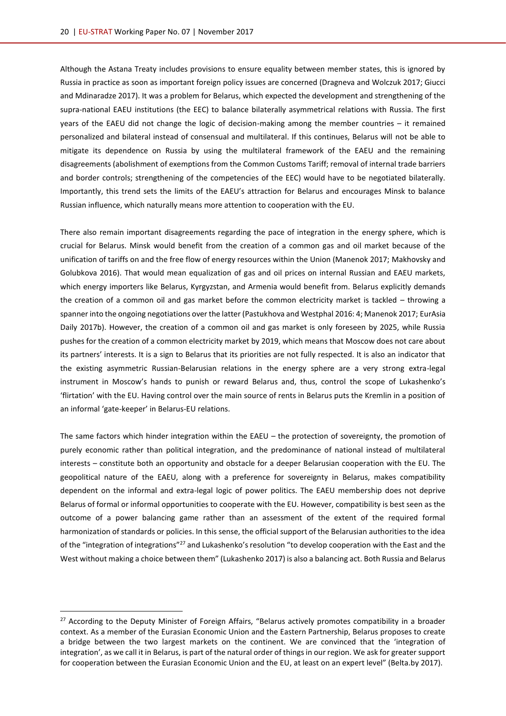Although the Astana Treaty includes provisions to ensure equality between member states, this is ignored by Russia in practice as soon as important foreign policy issues are concerned (Dragneva and Wolczuk 2017; Giucci and Mdinaradze 2017). It was a problem for Belarus, which expected the development and strengthening of the supra-national EAEU institutions (the EEC) to balance bilaterally asymmetrical relations with Russia. The first years of the EAEU did not change the logic of decision-making among the member countries – it remained personalized and bilateral instead of consensual and multilateral. If this continues, Belarus will not be able to mitigate its dependence on Russia by using the multilateral framework of the EAEU and the remaining disagreements (abolishment of exemptions from the Common Customs Tariff; removal of internal trade barriers and border controls; strengthening of the competencies of the EEC) would have to be negotiated bilaterally. Importantly, this trend sets the limits of the EAEU's attraction for Belarus and encourages Minsk to balance Russian influence, which naturally means more attention to cooperation with the EU.

There also remain important disagreements regarding the pace of integration in the energy sphere, which is crucial for Belarus. Minsk would benefit from the creation of a common gas and oil market because of the unification of tariffs on and the free flow of energy resources within the Union (Manenok 2017; Makhovsky and Golubkova 2016). That would mean equalization of gas and oil prices on internal Russian and EAEU markets, which energy importers like Belarus, Kyrgyzstan, and Armenia would benefit from. Belarus explicitly demands the creation of a common oil and gas market before the common electricity market is tackled – throwing a spanner into the ongoing negotiations over the latter (Pastukhova and Westphal 2016: 4; Manenok 2017; EurAsia Daily 2017b). However, the creation of a common oil and gas market is only foreseen by 2025, while Russia pushes for the creation of a common electricity market by 2019, which means that Moscow does not care about its partners' interests. It is a sign to Belarus that its priorities are not fully respected. It is also an indicator that the existing asymmetric Russian-Belarusian relations in the energy sphere are a very strong extra-legal instrument in Moscow's hands to punish or reward Belarus and, thus, control the scope of Lukashenko's 'flirtation' with the EU. Having control over the main source of rents in Belarus puts the Kremlin in a position of an informal 'gate-keeper' in Belarus-EU relations.

The same factors which hinder integration within the EAEU – the protection of sovereignty, the promotion of purely economic rather than political integration, and the predominance of national instead of multilateral interests – constitute both an opportunity and obstacle for a deeper Belarusian cooperation with the EU. The geopolitical nature of the EAEU, along with a preference for sovereignty in Belarus, makes compatibility dependent on the informal and extra-legal logic of power politics. The EAEU membership does not deprive Belarus of formal or informal opportunities to cooperate with the EU. However, compatibility is best seen as the outcome of a power balancing game rather than an assessment of the extent of the required formal harmonization of standards or policies. In this sense, the official support of the Belarusian authorities to the idea of the "integration of integrations"<sup>27</sup> and Lukashenko's resolution "to develop cooperation with the East and the West without making a choice between them" (Lukashenko 2017) is also a balancing act. Both Russia and Belarus

<sup>&</sup>lt;sup>27</sup> According to the Deputy Minister of Foreign Affairs, "Belarus actively promotes compatibility in a broader context. As a member of the Eurasian Economic Union and the Eastern Partnership, Belarus proposes to create a bridge between the two largest markets on the continent. We are convinced that the 'integration of integration', as we call it in Belarus, is part of the natural order of things in our region. We ask for greater support for cooperation between the Eurasian Economic Union and the EU, at least on an expert level" (Belta.by 2017).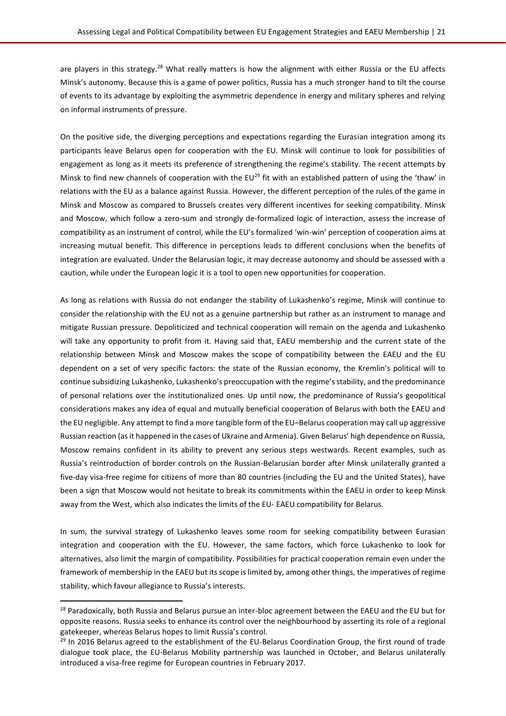are players in this strategy.<sup>28</sup> What really matters is how the alignment with either Russia or the EU affects Minsk's autonomy. Because this is a game of power politics, Russia has a much stronger hand to tilt the course of events to its advantage by exploiting the asymmetric dependence in energy and military spheres and relying on informal instruments of pressure.

On the positive side, the diverging perceptions and expectations regarding the Eurasian integration among its participants leave Belarus open for cooperation with the EU. Minsk will continue to look for possibilities of engagement as long as it meets its preference of strengthening the regime's stability. The recent attempts by Minsk to find new channels of cooperation with the EU<sup>29</sup> fit with an established pattern of using the 'thaw' in relations with the EU as a balance against Russia. However, the different perception of the rules of the game in Minsk and Moscow as compared to Brussels creates very different incentives for seeking compatibility. Minsk and Moscow, which follow a zero-sum and strongly de-formalized logic of interaction, assess the increase of compatibility as an instrument of control, while the EU's formalized 'win-win' perception of cooperation aims at increasing mutual benefit. This difference in perceptions leads to different conclusions when the benefits of integration are evaluated. Under the Belarusian logic, it may decrease autonomy and should be assessed with a caution, while under the European logic it is a tool to open new opportunities for cooperation.

As long as relations with Russia do not endanger the stability of Lukashenko's regime, Minsk will continue to consider the relationship with the EU not as a genuine partnership but rather as an instrument to manage and mitigate Russian pressure. Depoliticized and technical cooperation will remain on the agenda and Lukashenko will take any opportunity to profit from it. Having said that, EAEU membership and the current state of the relationship between Minsk and Moscow makes the scope of compatibility between the EAEU and the EU dependent on a set of very specific factors: the state of the Russian economy, the Kremlin's political will to continue subsidizing Lukashenko, Lukashenko's preoccupation with the regime's stability, and the predominance of personal relations over the institutionalized ones. Up until now, the predominance of Russia's geopolitical considerations makes any idea of equal and mutually beneficial cooperation of Belarus with both the EAEU and the EU negligible. Any attempt to find a more tangible form of the EU–Belarus cooperation may call up aggressive Russian reaction (as it happened in the cases of Ukraine and Armenia). Given Belarus' high dependence on Russia, Moscow remains confident in its ability to prevent any serious steps westwards. Recent examples, such as Russia's reintroduction of border controls on the Russian-Belarusian border after Minsk unilaterally granted a five-day visa-free regime for citizens of more than 80 countries (including the EU and the United States), have been a sign that Moscow would not hesitate to break its commitments within the EAEU in order to keep Minsk away from the West, which also indicates the limits of the EU- EAEU compatibility for Belarus.

In sum, the survival strategy of Lukashenko leaves some room for seeking compatibility between Eurasian integration and cooperation with the EU. However, the same factors, which force Lukashenko to look for alternatives, also limit the margin of compatibility. Possibilities for practical cooperation remain even under the framework of membership in the EAEU but its scope is limited by, among other things, the imperatives of regime stability, which favour allegiance to Russia's interests.

<sup>&</sup>lt;sup>28</sup> Paradoxically, both Russia and Belarus pursue an inter-bloc agreement between the EAEU and the EU but for opposite reasons. Russia seeks to enhance its control over the neighbourhood by asserting its role of a regional gatekeeper, whereas Belarus hopes to limit Russia's control.

<sup>&</sup>lt;sup>29</sup> In 2016 Belarus agreed to the establishment of the EU-Belarus Coordination Group, the first round of trade dialogue took place, the EU-Belarus Mobility partnership was launched in October, and Belarus unilaterally introduced a visa-free regime for European countries in February 2017.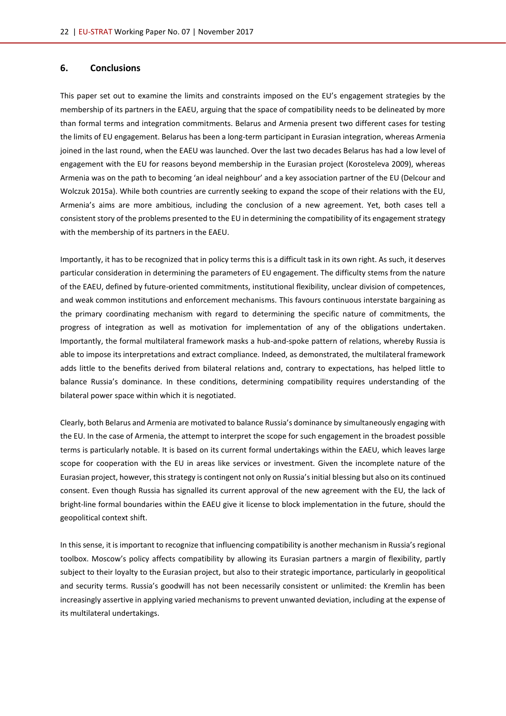#### <span id="page-21-0"></span>**6. Conclusions**

This paper set out to examine the limits and constraints imposed on the EU's engagement strategies by the membership of its partners in the EAEU, arguing that the space of compatibility needs to be delineated by more than formal terms and integration commitments. Belarus and Armenia present two different cases for testing the limits of EU engagement. Belarus has been a long-term participant in Eurasian integration, whereas Armenia joined in the last round, when the EAEU was launched. Over the last two decades Belarus has had a low level of engagement with the EU for reasons beyond membership in the Eurasian project (Korosteleva 2009), whereas Armenia was on the path to becoming 'an ideal neighbour' and a key association partner of the EU (Delcour and Wolczuk 2015a). While both countries are currently seeking to expand the scope of their relations with the EU, Armenia's aims are more ambitious, including the conclusion of a new agreement. Yet, both cases tell a consistent story of the problems presented to the EU in determining the compatibility of its engagement strategy with the membership of its partners in the EAEU.

Importantly, it has to be recognized that in policy terms this is a difficult task in its own right. As such, it deserves particular consideration in determining the parameters of EU engagement. The difficulty stems from the nature of the EAEU, defined by future-oriented commitments, institutional flexibility, unclear division of competences, and weak common institutions and enforcement mechanisms. This favours continuous interstate bargaining as the primary coordinating mechanism with regard to determining the specific nature of commitments, the progress of integration as well as motivation for implementation of any of the obligations undertaken. Importantly, the formal multilateral framework masks a hub-and-spoke pattern of relations, whereby Russia is able to impose its interpretations and extract compliance. Indeed, as demonstrated, the multilateral framework adds little to the benefits derived from bilateral relations and, contrary to expectations, has helped little to balance Russia's dominance. In these conditions, determining compatibility requires understanding of the bilateral power space within which it is negotiated.

Clearly, both Belarus and Armenia are motivated to balance Russia's dominance by simultaneously engaging with the EU. In the case of Armenia, the attempt to interpret the scope for such engagement in the broadest possible terms is particularly notable. It is based on its current formal undertakings within the EAEU, which leaves large scope for cooperation with the EU in areas like services or investment. Given the incomplete nature of the Eurasian project, however, this strategy is contingent not only on Russia's initial blessing but also on its continued consent. Even though Russia has signalled its current approval of the new agreement with the EU, the lack of bright-line formal boundaries within the EAEU give it license to block implementation in the future, should the geopolitical context shift.

In this sense, it is important to recognize that influencing compatibility is another mechanism in Russia's regional toolbox. Moscow's policy affects compatibility by allowing its Eurasian partners a margin of flexibility, partly subject to their loyalty to the Eurasian project, but also to their strategic importance, particularly in geopolitical and security terms. Russia's goodwill has not been necessarily consistent or unlimited: the Kremlin has been increasingly assertive in applying varied mechanisms to prevent unwanted deviation, including at the expense of its multilateral undertakings.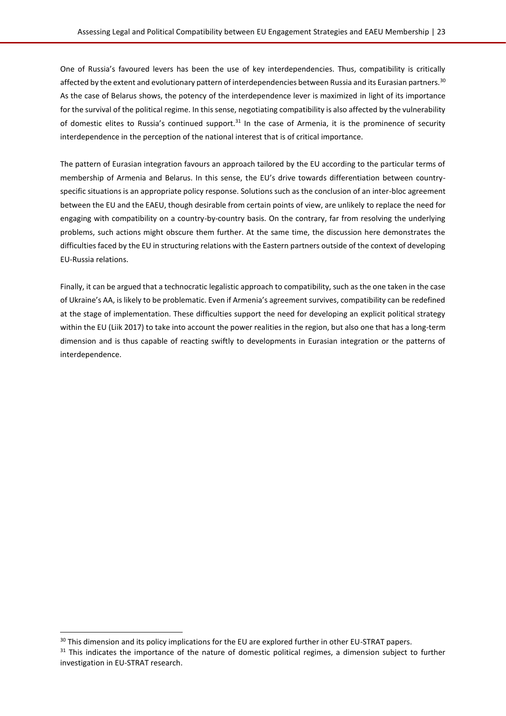One of Russia's favoured levers has been the use of key interdependencies. Thus, compatibility is critically affected by the extent and evolutionary pattern of interdependencies between Russia and its Eurasian partners.<sup>30</sup> As the case of Belarus shows, the potency of the interdependence lever is maximized in light of its importance for the survival of the political regime. In this sense, negotiating compatibility is also affected by the vulnerability of domestic elites to Russia's continued support.<sup>31</sup> In the case of Armenia, it is the prominence of security interdependence in the perception of the national interest that is of critical importance.

The pattern of Eurasian integration favours an approach tailored by the EU according to the particular terms of membership of Armenia and Belarus. In this sense, the EU's drive towards differentiation between countryspecific situations is an appropriate policy response. Solutions such as the conclusion of an inter-bloc agreement between the EU and the EAEU, though desirable from certain points of view, are unlikely to replace the need for engaging with compatibility on a country-by-country basis. On the contrary, far from resolving the underlying problems, such actions might obscure them further. At the same time, the discussion here demonstrates the difficulties faced by the EU in structuring relations with the Eastern partners outside of the context of developing EU-Russia relations.

Finally, it can be argued that a technocratic legalistic approach to compatibility, such as the one taken in the case of Ukraine's AA, is likely to be problematic. Even if Armenia's agreement survives, compatibility can be redefined at the stage of implementation. These difficulties support the need for developing an explicit political strategy within the EU (Liik 2017) to take into account the power realities in the region, but also one that has a long-term dimension and is thus capable of reacting swiftly to developments in Eurasian integration or the patterns of interdependence.

<sup>&</sup>lt;sup>30</sup> This dimension and its policy implications for the EU are explored further in other EU-STRAT papers.

<sup>&</sup>lt;sup>31</sup> This indicates the importance of the nature of domestic political regimes, a dimension subject to further investigation in EU-STRAT research.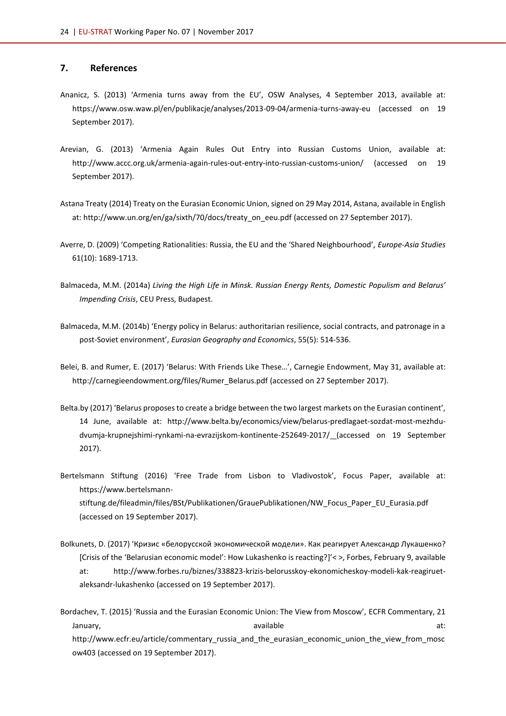#### <span id="page-23-0"></span>**7. References**

- Ananicz, S. (2013) 'Armenia turns away from the EU', OSW Analyses, 4 September 2013, available at: <https://www.osw.waw.pl/en/publikacje/analyses/2013-09-04/armenia-turns-away-eu> (accessed on 19 September 2017).
- Arevian, G. (2013) 'Armenia Again Rules Out Entry into Russian Customs Union, available at: <http://www.accc.org.uk/armenia-again-rules-out-entry-into-russian-customs-union/> (accessed on 19 September 2017).
- Astana Treaty (2014) Treaty on the Eurasian Economic Union, signed on 29 May 2014, Astana, available in English at: http://www.un.org/en/ga/sixth/70/docs/treaty\_on\_eeu.pdf (accessed on 27 September 2017).
- Averre, D. (2009) 'Competing Rationalities: Russia, the EU and the 'Shared Neighbourhood', *Europe-Asia Studies* 61(10): 1689-1713.
- Balmaceda, M.M. (2014a) *Living the High Life in Minsk. Russian Energy Rents, Domestic Populism and Belarus' Impending Crisis*, CEU Press, Budapest.
- Balmaceda, M.M. (2014b) 'Energy policy in Belarus: authoritarian resilience, social contracts, and patronage in a post-Soviet environment', *Eurasian Geography and Economics*, 55(5): 514-536.
- Belei, B. and Rumer, E. (2017) 'Belarus: With Friends Like These…', Carnegie Endowment, May 31, available at: [http://carnegieendowment.org/files/Rumer\\_Belarus.pdf](http://carnegieendowment.org/files/Rumer_Belarus.pdf) (accessed on 27 September 2017).
- Belta.by (2017) 'Belarus proposes to create a bridge between the two largest markets on the Eurasian continent', 14 June, available at: [http://www.belta.by/economics/view/belarus-predlagaet-sozdat-most-mezhdu](http://www.belta.by/economics/view/belarus-predlagaet-sozdat-most-mezhdu-dvumja-krupnejshimi-rynkami-na-evrazijskom-kontinente-252649-2017/)[dvumja-krupnejshimi-rynkami-na-evrazijskom-kontinente-252649-2017/](http://www.belta.by/economics/view/belarus-predlagaet-sozdat-most-mezhdu-dvumja-krupnejshimi-rynkami-na-evrazijskom-kontinente-252649-2017/) (accessed on 19 September 2017).
- Bertelsmann Stiftung (2016) 'Free Trade from Lisbon to Vladivostok', Focus Paper, available at: [https://www.bertelsmann](https://www.bertelsmann-stiftung.de/fileadmin/files/BSt/Publikationen/GrauePublikationen/NW_Focus_Paper_EU_Eurasia.pdf)[stiftung.de/fileadmin/files/BSt/Publikationen/GrauePublikationen/NW\\_Focus\\_Paper\\_EU\\_Eurasia.pdf](https://www.bertelsmann-stiftung.de/fileadmin/files/BSt/Publikationen/GrauePublikationen/NW_Focus_Paper_EU_Eurasia.pdf) (accessed on 19 September 2017).
- Bolkunets, D. (2017) 'Кризис «белорусской экономической модели». Как реагирует Александр Лукашенко? [Crisis of the 'Belarusian economic model': How Lukashenko is reacting?]'< >, Forbes, February 9, available at: [http://www.forbes.ru/biznes/338823-krizis-belorusskoy-ekonomicheskoy-modeli-kak-reagiruet](http://www.forbes.ru/biznes/338823-krizis-belorusskoy-ekonomicheskoy-modeli-kak-reagiruet-aleksandr-lukashenko)[aleksandr-lukashenko](http://www.forbes.ru/biznes/338823-krizis-belorusskoy-ekonomicheskoy-modeli-kak-reagiruet-aleksandr-lukashenko) (accessed on 19 September 2017).
- Bordachev, T. (2015) 'Russia and the Eurasian Economic Union: The View from Moscow', ECFR Commentary, 21 January, available at: http://www.ecfr.eu/article/commentary russia and the eurasian economic union the view from mosc [ow403](http://www.ecfr.eu/article/commentary_russia_and_the_eurasian_economic_union_the_view_from_moscow403) (accessed on 19 September 2017).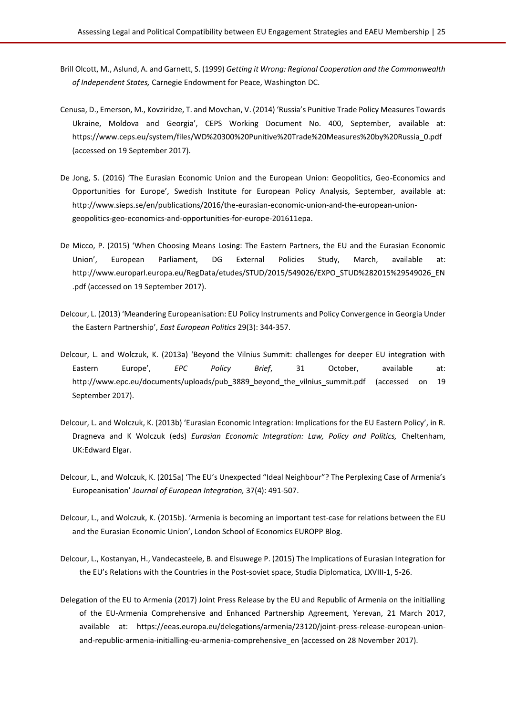- Brill Olcott, M., Aslund, A. and Garnett, S. (1999) *Getting it Wrong: Regional Cooperation and the Commonwealth of Independent States,* Carnegie Endowment for Peace, Washington DC.
- Cenusa, D., Emerson, M., Kovziridze, T. and Movchan, V. (2014) 'Russia's Punitive Trade Policy Measures Towards Ukraine, Moldova and Georgia', CEPS Working Document No. 400, September, available at: [https://www.ceps.eu/system/files/WD%20300%20Punitive%20Trade%20Measures%20by%20Russia\\_0.pdf](https://www.ceps.eu/system/files/WD%20300%20Punitive%20Trade%20Measures%20by%20Russia_0.pdf) (accessed on 19 September 2017).
- De Jong, S. (2016) 'The Eurasian Economic Union and the European Union: Geopolitics, Geo-Economics and Opportunities for Europe', Swedish Institute for European Policy Analysis, September, available at: [http://www.sieps.se/en/publications/2016/the-eurasian-economic-union-and-the-european-union](http://www.sieps.se/en/publications/2016/the-eurasian-economic-union-and-the-european-union-geopolitics-geo-economics-and-opportunities-for-europe-201611epa)[geopolitics-geo-economics-and-opportunities-for-europe-201611epa.](http://www.sieps.se/en/publications/2016/the-eurasian-economic-union-and-the-european-union-geopolitics-geo-economics-and-opportunities-for-europe-201611epa)
- De Micco, P. (2015) 'When Choosing Means Losing: The Eastern Partners, the EU and the Eurasian Economic Union', European Parliament, DG External Policies Study, March, available at: [http://www.europarl.europa.eu/RegData/etudes/STUD/2015/549026/EXPO\\_STUD%282015%29549026\\_EN](http://www.europarl.europa.eu/RegData/etudes/STUD/2015/549026/EXPO_STUD%282015%29549026_EN.pdf) [.pdf](http://www.europarl.europa.eu/RegData/etudes/STUD/2015/549026/EXPO_STUD%282015%29549026_EN.pdf) (accessed on 19 September 2017).
- Delcour, L. (2013) 'Meandering Europeanisation: EU Policy Instruments and Policy Convergence in Georgia Under the Eastern Partnership', *East European Politics* 29(3): 344-357.
- Delcour, L. and Wolczuk, K. (2013a) 'Beyond the Vilnius Summit: challenges for deeper EU integration with Eastern Europe', *EPC Policy Brief*, 31 October, available at: [http://www.epc.eu/documents/uploads/pub\\_3889\\_beyond\\_the\\_vilnius\\_summit.pdf](http://www.epc.eu/documents/uploads/pub_3889_beyond_the_vilnius_summit.pdf) (accessed on 19 September 2017).
- Delcour, L. and Wolczuk, K. (2013b) 'Eurasian Economic Integration: Implications for the EU Eastern Policy', in R. Dragneva and K Wolczuk (eds) *Eurasian Economic Integration: Law, Policy and Politics,* Cheltenham, UK:Edward Elgar.
- Delcour, L., and Wolczuk, K. (2015a) 'The EU's Unexpected "Ideal Neighbour"? The Perplexing Case of Armenia's Europeanisation' *Journal of European Integration,* 37(4): 491-507.
- Delcour, L., and Wolczuk, K. (2015b). '[Armenia is becoming an important test-case for relations between the EU](http://blogs.lse.ac.uk/europpblog/2015/05/13/armenia-is-becoming-an-important-test-case-for-relations-between-the-eu-and-the-eurasian-economic-union/)  [and the Eurasian Economic Union](http://blogs.lse.ac.uk/europpblog/2015/05/13/armenia-is-becoming-an-important-test-case-for-relations-between-the-eu-and-the-eurasian-economic-union/)', London School of Economics EUROPP Blog.
- Delcour, L., Kostanyan, H., Vandecasteele, B. and Elsuwege P. (2015) The Implications of Eurasian Integration for the EU's Relations with the Countries in the Post-soviet space, Studia Diplomatica, LXVIII-1, 5-26.
- Delegation of the EU to Armenia (2017) Joint Press Release by the EU and Republic of Armenia on the initialling of the EU-Armenia Comprehensive and Enhanced Partnership Agreement, Yerevan, 21 March 2017, available at: [https://eeas.europa.eu/delegations/armenia/23120/joint-press-release-european-union](https://eeas.europa.eu/delegations/armenia/23120/joint-press-release-european-union-and-republic-armenia-initialling-eu-armenia-comprehensive_en)[and-republic-armenia-initialling-eu-armenia-comprehensive\\_en](https://eeas.europa.eu/delegations/armenia/23120/joint-press-release-european-union-and-republic-armenia-initialling-eu-armenia-comprehensive_en) (accessed on 28 November 2017).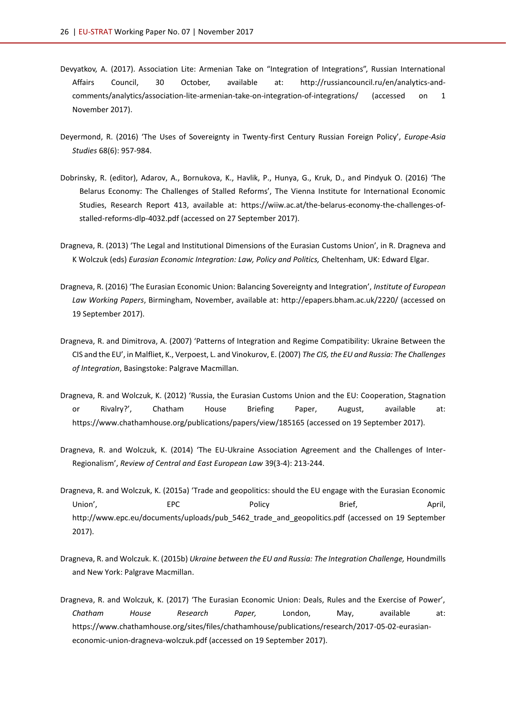- Devyatkov, A. (2017). Association Lite: Armenian Take on "Integration of Integrations", Russian International Affairs Council, 30 October, available at: [http://russiancouncil.ru/en/analytics-and](http://russiancouncil.ru/en/analytics-and-comments/analytics/association-lite-armenian-take-on-integration-of-integrations/)[comments/analytics/association-lite-armenian-take-on-integration-of-integrations/](http://russiancouncil.ru/en/analytics-and-comments/analytics/association-lite-armenian-take-on-integration-of-integrations/) (accessed on 1 November 2017).
- Deyermond, R. (2016) 'The Uses of Sovereignty in Twenty-first Century Russian Foreign Policy', *Europe-Asia Studies* 68(6): 957-984.
- Dobrinsky, R. (editor), Adarov, A., Bornukova, K., Havlik, P., Hunya, G., Kruk, D., and Pindyuk O. (2016) 'The Belarus Economy: The Challenges of Stalled Reforms', The Vienna Institute for International Economic Studies, Research Report 413, available at: [https://wiiw.ac.at/the-belarus-economy-the-challenges-of](https://wiiw.ac.at/the-belarus-economy-the-challenges-of-stalled-reforms-dlp-4032.pdf)[stalled-reforms-dlp-4032.pdf](https://wiiw.ac.at/the-belarus-economy-the-challenges-of-stalled-reforms-dlp-4032.pdf) (accessed on 27 September 2017).
- Dragneva, R. (2013) 'The Legal and Institutional Dimensions of the Eurasian Customs Union', in R. Dragneva and K Wolczuk (eds) *Eurasian Economic Integration: Law, Policy and Politics,* Cheltenham, UK: Edward Elgar.
- Dragneva, R. (2016) 'The Eurasian Economic Union: Balancing Sovereignty and Integration', *Institute of European Law Working Papers*, Birmingham, November, available at: <http://epapers.bham.ac.uk/2220/> (accessed on 19 September 2017).
- Dragneva, R. and Dimitrova, A. (2007) 'Patterns of Integration and Regime Compatibility: Ukraine Between the CIS and the EU', in Malfliet, K., Verpoest, L. and Vinokurov, E. (2007) *The CIS, the EU and Russia: The Challenges of Integration*, Basingstoke: Palgrave Macmillan.
- Dragneva, R. and Wolczuk, K. (2012) 'Russia, the Eurasian Customs Union and the EU: Cooperation, Stagnation or Rivalry?', Chatham House Briefing Paper, August, available at: <https://www.chathamhouse.org/publications/papers/view/185165> (accessed on 19 September 2017).
- Dragneva, R. and Wolczuk, K. (2014) 'The EU-Ukraine Association Agreement and the Challenges of Inter-Regionalism', *Review of Central and East European Law* 39(3-4): 213-244.
- Dragneva, R. and Wolczuk, K. (2015a) 'Trade and geopolitics: should the EU engage with the Eurasian Economic Union', EPC Policy Brief, April, [http://www.epc.eu/documents/uploads/pub\\_5462\\_trade\\_and\\_geopolitics.pdf](http://www.epc.eu/documents/uploads/pub_5462_trade_and_geopolitics.pdf) (accessed on 19 September 2017).
- Dragneva, R. and Wolczuk. K. (2015b) *Ukraine between the EU and Russia: The Integration Challenge,* Houndmills and New York: Palgrave Macmillan.
- Dragneva, R. and Wolczuk, K. (2017) 'The Eurasian Economic Union: Deals, Rules and the Exercise of Power', *Chatham House Research Paper,* London, May, available at: [https://www.chathamhouse.org/sites/files/chathamhouse/publications/research/2017-05-02-eurasian](https://www.chathamhouse.org/sites/files/chathamhouse/publications/research/2017-05-02-eurasian-economic-union-dragneva-wolczuk.pdf)[economic-union-dragneva-wolczuk.pdf](https://www.chathamhouse.org/sites/files/chathamhouse/publications/research/2017-05-02-eurasian-economic-union-dragneva-wolczuk.pdf) (accessed on 19 September 2017).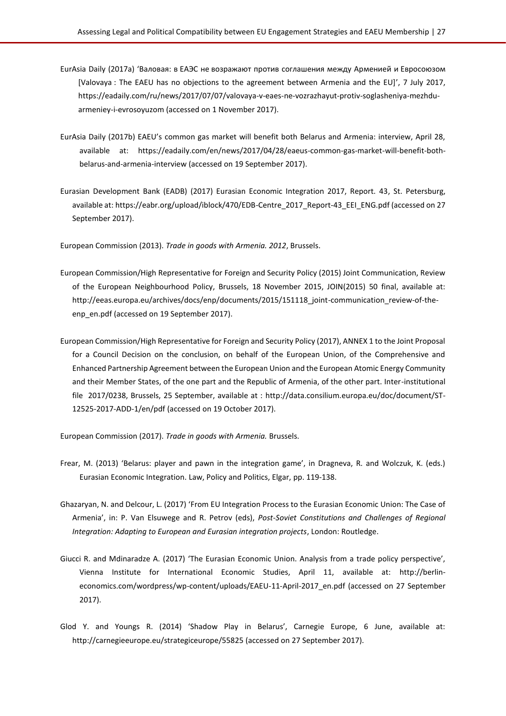- EurAsia Daily (2017a) 'Валовая: в ЕАЭС не возражают против соглашения между Арменией и Евросоюзом [Valovaya : The EAEU has no objections to the agreement between Armenia and the EU]', 7 July 2017, [https://eadaily.com/ru/news/2017/07/07/valovaya-v-eaes-ne-vozrazhayut-protiv-soglasheniya-mezhdu](https://eadaily.com/ru/news/2017/07/07/valovaya-v-eaes-ne-vozrazhayut-protiv-soglasheniya-mezhdu-armeniey-i-evrosoyuzom)[armeniey-i-evrosoyuzom](https://eadaily.com/ru/news/2017/07/07/valovaya-v-eaes-ne-vozrazhayut-protiv-soglasheniya-mezhdu-armeniey-i-evrosoyuzom) (accessed on 1 November 2017).
- EurAsia Daily (2017b) EAEU's common gas market will benefit both Belarus and Armenia: interview, April 28, available at: [https://eadaily.com/en/news/2017/04/28/eaeus-common-gas-market-will-benefit-both](https://eadaily.com/en/news/2017/04/28/eaeus-common-gas-market-will-benefit-both-belarus-and-armenia-interview)[belarus-and-armenia-interview](https://eadaily.com/en/news/2017/04/28/eaeus-common-gas-market-will-benefit-both-belarus-and-armenia-interview) (accessed on 19 September 2017).
- Eurasian Development Bank (EADB) (2017) Eurasian Economic Integration 2017, Report. 43, St. Petersburg, available at: [https://eabr.org/upload/iblock/470/EDB-Centre\\_2017\\_Report-43\\_EEI\\_ENG.pdf](https://eabr.org/upload/iblock/470/EDB-Centre_2017_Report-43_EEI_ENG.pdf) (accessed on 27 September 2017).

European Commission (2013). *Trade in goods with Armenia. 2012*, Brussels.

- European Commission/High Representative for Foreign and Security Policy (2015) Joint Communication, Review of the European Neighbourhood Policy, Brussels, 18 November 2015, JOIN(2015) 50 final, available at: [http://eeas.europa.eu/archives/docs/enp/documents/2015/151118\\_joint-communication\\_review-of-the](http://eeas.europa.eu/archives/docs/enp/documents/2015/151118_joint-communication_review-of-the-enp_en.pdf)[enp\\_en.pdf](http://eeas.europa.eu/archives/docs/enp/documents/2015/151118_joint-communication_review-of-the-enp_en.pdf) (accessed on 19 September 2017).
- European Commission/High Representative for Foreign and Security Policy (2017), ANNEX 1 to the Joint Proposal for a Council Decision on the conclusion, on behalf of the European Union, of the Comprehensive and Enhanced Partnership Agreement between the European Union and the European Atomic Energy Community and their Member States, of the one part and the Republic of Armenia, of the other part. Inter-institutional file 2017/0238, Brussels, 25 September, available at : [http://data.consilium.europa.eu/doc/document/ST-](http://data.consilium.europa.eu/doc/document/ST-12525-2017-ADD-1/en/pdf)[12525-2017-ADD-1/en/pdf](http://data.consilium.europa.eu/doc/document/ST-12525-2017-ADD-1/en/pdf) (accessed on 19 October 2017).

European Commission (2017). *Trade in goods with Armenia.* Brussels.

- Frear, M. (2013) 'Belarus: player and pawn in the integration game', in Dragneva, R. and Wolczuk, K. (eds.) Eurasian Economic Integration. Law, Policy and Politics, Elgar, pp. 119-138.
- Ghazaryan, N. and Delcour, L. (2017) 'From EU Integration Process to the Eurasian Economic Union: The Case of Armenia', in: P. Van Elsuwege and R. Petrov (eds), *Post-Soviet Constitutions and Challenges of Regional Integration: Adapting to European and Eurasian integration projects*, London: Routledge.
- Giucci R. and Mdinaradze A. (2017) 'The Eurasian Economic Union. Analysis from a trade policy perspective', Vienna Institute for International Economic Studies, April 11, available at: [http://berlin](http://berlin-economics.com/wordpress/wp-content/uploads/EAEU-11-April-2017_en.pdf)[economics.com/wordpress/wp-content/uploads/EAEU-11-April-2017\\_en.pdf](http://berlin-economics.com/wordpress/wp-content/uploads/EAEU-11-April-2017_en.pdf) (accessed on 27 September 2017).
- Glod Y. and Youngs R. (2014) 'Shadow Play in Belarus', Carnegie Europe, 6 June, available at: <http://carnegieeurope.eu/strategiceurope/55825> (accessed on 27 September 2017).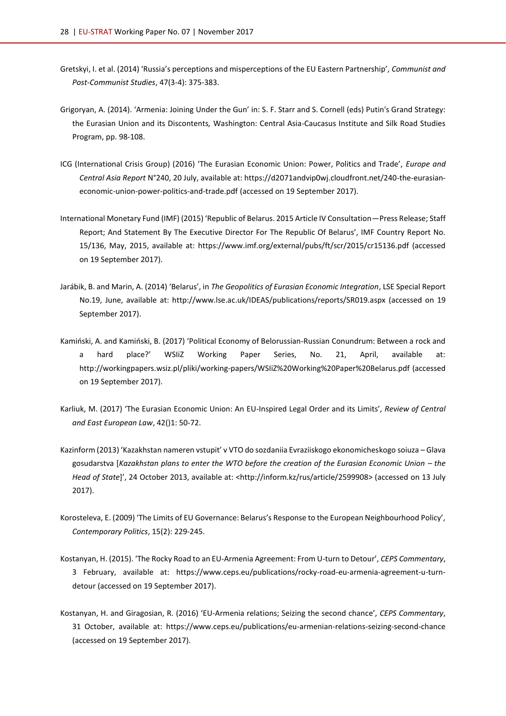- Gretskyi, I. et al. (2014) 'Russia's perceptions and misperceptions of the EU Eastern Partnership', *Communist and Post-Communist Studies*, 47(3-4): 375-383.
- Grigoryan, A. (2014). 'Armenia: Joining Under the Gun' in: S. F. Starr and S. Cornell (eds) Putin's Grand Strategy: the Eurasian Union and its Discontents*,* Washington: Central Asia-Caucasus Institute and Silk Road Studies Program, pp. 98-108.
- ICG (International Crisis Group) (2016) 'The Eurasian Economic Union: Power, Politics and Trade', *Europe and Central Asia Report* N°240, 20 July, available at: [https://d2071andvip0wj.cloudfront.net/240-the-eurasian](https://d2071andvip0wj.cloudfront.net/240-the-eurasian-economic-union-power-politics-and-trade.pdf)[economic-union-power-politics-and-trade.pdf](https://d2071andvip0wj.cloudfront.net/240-the-eurasian-economic-union-power-politics-and-trade.pdf) (accessed on 19 September 2017).
- International Monetary Fund (IMF) (2015) 'Republic of Belarus. 2015 Article IV Consultation—Press Release; Staff Report; And Statement By The Executive Director For The Republic Of Belarus', IMF Country Report No. 15/136, May, 2015, available at:<https://www.imf.org/external/pubs/ft/scr/2015/cr15136.pdf> (accessed on 19 September 2017).
- Jarábik, B. and Marin, A. (2014) 'Belarus', in *The Geopolitics of Eurasian Economic Integration*, LSE Special Report No.19, June, available at: <http://www.lse.ac.uk/IDEAS/publications/reports/SR019.aspx> (accessed on 19 September 2017).
- Kamiński, A. and Kamiński, B. (2017) 'Political Economy of Belorussian-Russian Conundrum: Between a rock and a hard place?' WSIiZ Working Paper Series, No. 21, April, available at: <http://workingpapers.wsiz.pl/pliki/working-papers/WSIiZ%20Working%20Paper%20Belarus.pdf> (accessed on 19 September 2017).
- Karliuk, M. (2017) 'The Eurasian Economic Union: An EU-Inspired Legal Order and its Limits', *Review of Central and East European Law*, 42()1: 50-72.
- Kazinform (2013) 'Kazakhstan nameren vstupit' v VTO do sozdaniia Evraziiskogo ekonomicheskogo soiuza Glava gosudarstva [Kazakhstan plans to enter the WTO before the creation of the Eurasian Economic Union – the *Head of State*]', 24 October 2013, available at: <http://inform.kz/rus/article/2599908> (accessed on 13 July 2017).
- Korosteleva, E. (2009) 'The Limits of EU Governance: Belarus's Response to the European Neighbourhood Policy', *Contemporary Politics*, 15(2): 229-245.
- Kostanyan, H. (2015). 'The Rocky Road to an EU-Armenia Agreement: From U-turn to Detour', *CEPS Commentary*, 3 February, available at: [https://www.ceps.eu/publications/rocky-road-eu-armenia-agreement-u-turn](https://www.ceps.eu/publications/rocky-road-eu-armenia-agreement-u-turn-detour)[detour](https://www.ceps.eu/publications/rocky-road-eu-armenia-agreement-u-turn-detour) (accessed on 19 September 2017).
- Kostanyan, H. and Giragosian, R. (2016) 'EU-Armenia relations; Seizing the second chance', *CEPS Commentary*, 31 October, available at:<https://www.ceps.eu/publications/eu-armenian-relations-seizing-second-chance> (accessed on 19 September 2017).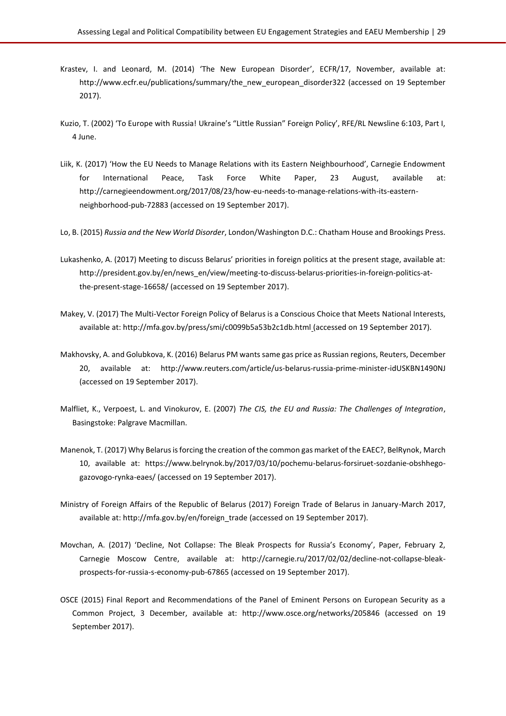- Krastev, I. and Leonard, M. (2014) 'The New European Disorder', ECFR/17, November, available at: [http://www.ecfr.eu/publications/summary/the\\_new\\_european\\_disorder322](http://www.ecfr.eu/publications/summary/the_new_european_disorder322) (accessed on 19 September 2017).
- Kuzio, T. (2002) 'To Europe with Russia! Ukraine's "Little Russian" Foreign Policy', RFE/RL Newsline 6:103, Part I, 4 June.
- Liik, K. (2017) 'How the EU Needs to Manage Relations with its Eastern Neighbourhood', Carnegie Endowment for International Peace, Task Force White Paper, 23 August, available at: [http://carnegieendowment.org/2017/08/23/how-eu-needs-to-manage-relations-with-its-eastern](http://carnegieendowment.org/2017/08/23/how-eu-needs-to-manage-relations-with-its-eastern-neighborhood-pub-72883)[neighborhood-pub-72883](http://carnegieendowment.org/2017/08/23/how-eu-needs-to-manage-relations-with-its-eastern-neighborhood-pub-72883) (accessed on 19 September 2017).
- Lo, B. (2015) *Russia and the New World Disorder*, London/Washington D.C.: Chatham House and Brookings Press.
- Lukashenko, A. (2017) Meeting to discuss Belarus' priorities in foreign politics at the present stage, available at: [http://president.gov.by/en/news\\_en/view/meeting-to-discuss-belarus-priorities-in-foreign-politics-at](http://president.gov.by/en/news_en/view/meeting-to-discuss-belarus-priorities-in-foreign-politics-at-the-present-stage-16658/)[the-present-stage-16658/](http://president.gov.by/en/news_en/view/meeting-to-discuss-belarus-priorities-in-foreign-politics-at-the-present-stage-16658/) (accessed on 19 September 2017).
- Makey, V. (2017) The Multi-Vector Foreign Policy of Belarus is a Conscious Choice that Meets National Interests, available at[: http://mfa.gov.by/press/smi/c0099b5a53b2c1db.html](http://mfa.gov.by/press/smi/c0099b5a53b2c1db.html) (accessed on 19 September 2017).
- Makhovsky, A. and Golubkova, K. (2016) Belarus PM wants same gas price as Russian regions, Reuters, December 20, available at: <http://www.reuters.com/article/us-belarus-russia-prime-minister-idUSKBN1490NJ> (accessed on 19 September 2017).
- Malfliet, K., Verpoest, L. and Vinokurov, E. (2007) *The CIS, the EU and Russia: The Challenges of Integration*, Basingstoke: Palgrave Macmillan.
- Manenok, T. (2017) Why Belarus is forcing the creation of the common gas market of the EAEC?, BelRynok, March 10, available at: [https://www.belrynok.by/2017/03/10/pochemu-belarus-forsiruet-sozdanie-obshhego](https://www.belrynok.by/2017/03/10/pochemu-belarus-forsiruet-sozdanie-obshhego-gazovogo-rynka-eaes/)[gazovogo-rynka-eaes/](https://www.belrynok.by/2017/03/10/pochemu-belarus-forsiruet-sozdanie-obshhego-gazovogo-rynka-eaes/) (accessed on 19 September 2017).
- Ministry of Foreign Affairs of the Republic of Belarus (2017) Foreign Trade of Belarus in January-March 2017, available at[: http://mfa.gov.by/en/foreign\\_trade](http://mfa.gov.by/en/foreign_trade) (accessed on 19 September 2017).
- Movchan, A. (2017) 'Decline, Not Collapse: The Bleak Prospects for Russia's Economy', Paper, February 2, Carnegie Moscow Centre, available at: [http://carnegie.ru/2017/02/02/decline-not-collapse-bleak](http://carnegie.ru/2017/02/02/decline-not-collapse-bleak-prospects-for-russia-s-economy-pub-67865)[prospects-for-russia-s-economy-pub-67865](http://carnegie.ru/2017/02/02/decline-not-collapse-bleak-prospects-for-russia-s-economy-pub-67865) (accessed on 19 September 2017).
- OSCE (2015) Final Report and Recommendations of the Panel of Eminent Persons on European Security as a Common Project, 3 December, available at: <http://www.osce.org/networks/205846> (accessed on 19 September 2017).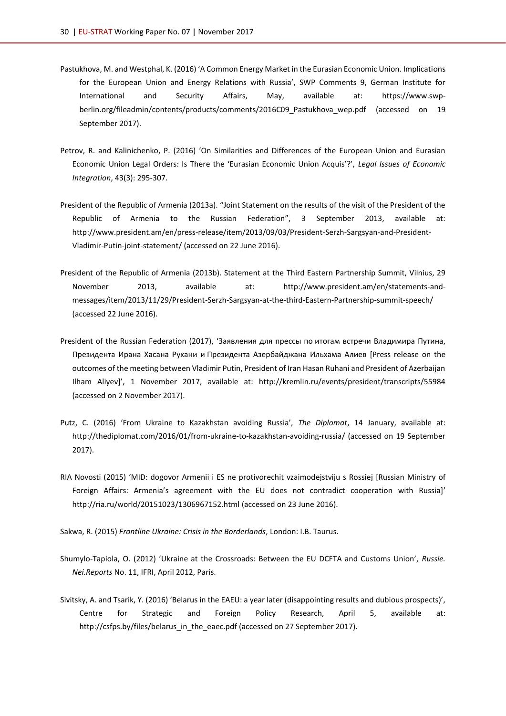- Pastukhova, M. and Westphal, K. (2016) 'A Common Energy Market in the Eurasian Economic Union. Implications for the European Union and Energy Relations with Russia', SWP Comments 9, German Institute for International and Security Affairs, May, available at: [https://www.swp](https://www.swp-berlin.org/fileadmin/contents/products/comments/2016C09_Pastukhova_wep.pdf)berlin.org/fileadmin/contents/products/comments/2016C09 Pastukhova wep.pdf (accessed on 19 September 2017).
- Petrov, R. and Kalinichenko, P. (2016) 'On Similarities and Differences of the European Union and Eurasian Economic Union Legal Orders: Is There the 'Eurasian Economic Union Acquis'?', *Legal Issues of Economic Integration*, 43(3): 295-307.
- President of the Republic of Armenia (2013a). "Joint Statement on the results of the visit of the President of the Republic of Armenia to the Russian Federation", 3 September 2013, available at: [http://www.president.am/en/press-release/item/2013/09/03/President-Serzh-Sargsyan-and-President-](http://www.president.am/en/press-release/item/2013/09/03/President-Serzh-Sargsyan-and-President-Vladimir-Putin-joint-statement/)[Vladimir-Putin-joint-statement/](http://www.president.am/en/press-release/item/2013/09/03/President-Serzh-Sargsyan-and-President-Vladimir-Putin-joint-statement/) (accessed on 22 June 2016).
- President of the Republic of Armenia (2013b). Statement at the Third Eastern Partnership Summit, Vilnius, 29 November 2013, available at: [http://www.president.am/en/statements-and](http://www.president.am/en/statements-and-messages/item/2013/11/29/President-Serzh-Sargsyan-at-the-third-Eastern-Partnership-summit-speech/)[messages/item/2013/11/29/President-Serzh-Sargsyan-at-the-third-Eastern-Partnership-summit-speech/](http://www.president.am/en/statements-and-messages/item/2013/11/29/President-Serzh-Sargsyan-at-the-third-Eastern-Partnership-summit-speech/) (accessed 22 June 2016).
- President of the Russian Federation (2017), 'Заявления для прессы по итогам встречи Владимира Путина, Президента Ирана Хасана Рухани и Президента Азербайджана Ильхама Алиев [Press release on the outcomes of the meeting between Vladimir Putin, President of Iran Hasan Ruhani and President of Azerbaijan Ilham Aliyev]', 1 November 2017, available at: <http://kremlin.ru/events/president/transcripts/55984> (accessed on 2 November 2017).
- Putz, C. (2016) 'From Ukraine to Kazakhstan avoiding Russia', *The Diplomat*, 14 January, available at: <http://thediplomat.com/2016/01/from-ukraine-to-kazakhstan-avoiding-russia/> (accessed on 19 September 2017).
- RIA Novosti (2015) 'MID: dogovor Armenii i ES ne protivorechit vzaimodejstviju s Rossiej [Russian Ministry of Foreign Affairs: Armenia's agreement with the EU does not contradict cooperation with Russia]' <http://ria.ru/world/20151023/1306967152.html> (accessed on 23 June 2016).
- Sakwa, R. (2015) *Frontline Ukraine: Crisis in the Borderlands*, London: I.B. Taurus.
- Shumylo-Tapiola, O. (2012) 'Ukraine at the Crossroads: Between the EU DCFTA and Customs Union', *Russie. Nei.Reports* No. 11, IFRI, April 2012, Paris.
- Sivitsky, A. and Tsarik, Y. (2016) 'Belarus in the EAEU: a year later (disappointing results and dubious prospects)', Centre for Strategic and Foreign Policy Research, April 5, available at: [http://csfps.by/files/belarus\\_in\\_the\\_eaec.pdf](http://csfps.by/files/belarus_in_the_eaec.pdf) (accessed on 27 September 2017).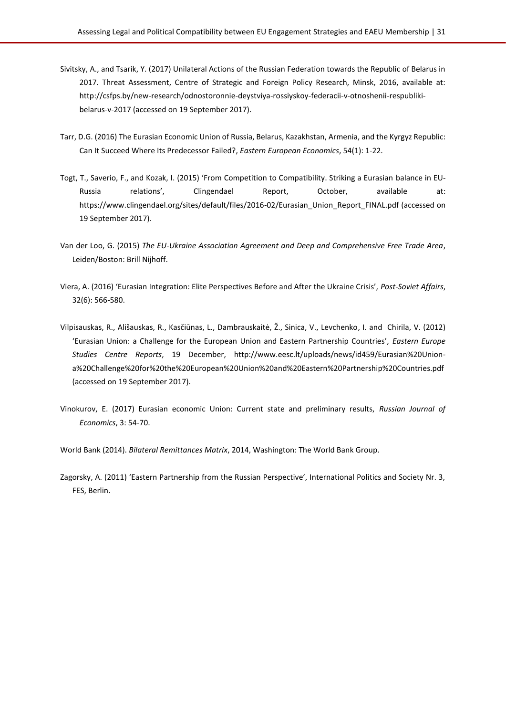- Sivitsky, A., and Tsarik, Y. (2017) Unilateral Actions of the Russian Federation towards the Republic of Belarus in 2017. Threat Assessment, Centre of Strategic and Foreign Policy Research, Minsk, 2016, available at: [http://csfps.by/new-research/odnostoronnie-deystviya-rossiyskoy-federacii-v-otnoshenii-respubliki](http://csfps.by/new-research/odnostoronnie-deystviya-rossiyskoy-federacii-v-otnoshenii-respubliki-belarus-v-2017)[belarus-v-2017](http://csfps.by/new-research/odnostoronnie-deystviya-rossiyskoy-federacii-v-otnoshenii-respubliki-belarus-v-2017) (accessed on 19 September 2017).
- Tarr, D.G. (2016) The Eurasian Economic Union of Russia, Belarus, Kazakhstan, Armenia, and the Kyrgyz Republic: Can It Succeed Where Its Predecessor Failed?, *Eastern European Economics*, 54(1): 1-22.
- Togt, T., Saverio, F., and Kozak, I. (2015) 'From Competition to Compatibility. Striking a Eurasian balance in EU-Russia relations', Clingendael Report, October, available at: [https://www.clingendael.org/sites/default/files/2016-02/Eurasian\\_Union\\_Report\\_FINAL.pdf](https://www.clingendael.org/sites/default/files/2016-02/Eurasian_Union_Report_FINAL.pdf) (accessed on 19 September 2017).
- Van der Loo, G. (2015) *The EU-Ukraine Association Agreement and Deep and Comprehensive Free Trade Area*, Leiden/Boston: Brill Nijhoff.
- Viera, A. (2016) 'Eurasian Integration: Elite Perspectives Before and After the Ukraine Crisis', *Post-Soviet Affairs*, 32(6): 566-580.
- Vilpisauskas, R., Ališauskas, R., Kasčiūnas, L., Dambrauskaitė, Ž., Sinica, V., Levchenko, I. and Chirila, V. (2012) 'Eurasian Union: a Challenge for the European Union and Eastern Partnership Countries', *Eastern Europe Studies Centre Reports*, 19 December, [http://www.eesc.lt/uploads/news/id459/Eurasian%20Union](http://www.eesc.lt/uploads/news/id459/Eurasian%20Union-a%20Challenge%20for%20the%20European%20Union%20and%20Eastern%20Partnership%20Countries.pdf)[a%20Challenge%20for%20the%20European%20Union%20and%20Eastern%20Partnership%20Countries.pdf](http://www.eesc.lt/uploads/news/id459/Eurasian%20Union-a%20Challenge%20for%20the%20European%20Union%20and%20Eastern%20Partnership%20Countries.pdf) (accessed on 19 September 2017).
- Vinokurov, E. (2017) Eurasian economic Union: Current state and preliminary results, *Russian Journal of Economics*, 3: 54-70.
- World Bank (2014). *Bilateral Remittances Matrix*, 2014, Washington: The World Bank Group.
- Zagorsky, A. (2011) 'Eastern Partnership from the Russian Perspective', International Politics and Society Nr. 3, FES, Berlin.